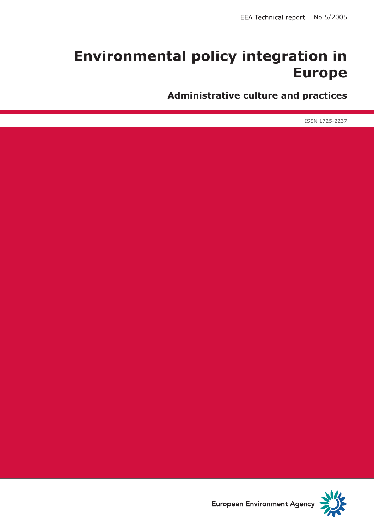# **Environmental policy integration in Europe**

**Administrative culture and practices**

ISSN 1725-2237



**European Environment Agency**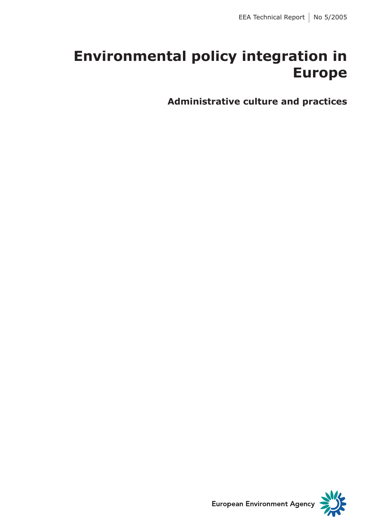# **Environmental policy integration in Europe**

**Administrative culture and practices**

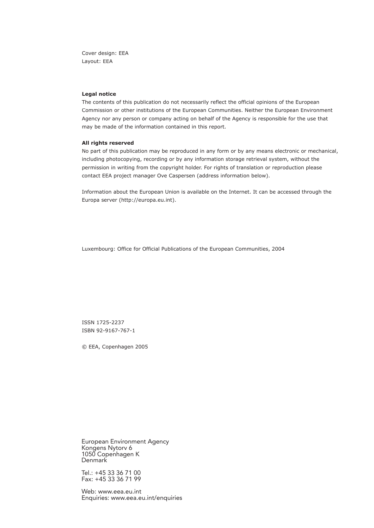Cover design: EEA Layout: EEA

#### **Legal notice**

The contents of this publication do not necessarily reflect the official opinions of the European Commission or other institutions of the European Communities. Neither the European Environment Agency nor any person or company acting on behalf of the Agency is responsible for the use that may be made of the information contained in this report.

#### **All rights reserved**

No part of this publication may be reproduced in any form or by any means electronic or mechanical, including photocopying, recording or by any information storage retrieval system, without the permission in writing from the copyright holder. For rights of translation or reproduction please contact EEA project manager Ove Caspersen (address information below).

Information about the European Union is available on the Internet. It can be accessed through the Europa server (http://europa.eu.int).

Luxembourg: Office for Official Publications of the European Communities, 2004

ISSN 1725-2237 ISBN 92-9167-767-1

© EEA, Copenhagen 2005

European Environment Agency Kongens Nytorv 6 1050 Copenhagen K Denmark

Tel.: +45 33 36 71 00 Fax: +45 33 36 71 99

Web: www.eea.eu.int Enquiries: www.eea.eu.int/enquiries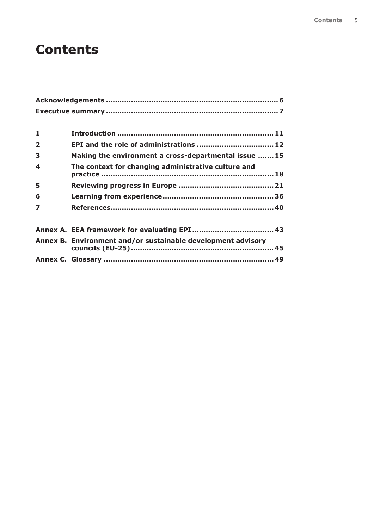## **Contents**

| 1                       |                                                              |  |
|-------------------------|--------------------------------------------------------------|--|
| $\overline{\mathbf{2}}$ | EPI and the role of administrations  12                      |  |
| 3                       | Making the environment a cross-departmental issue  15        |  |
| 4                       | The context for changing administrative culture and          |  |
| 5                       |                                                              |  |
| 6                       |                                                              |  |
| $\overline{\mathbf{z}}$ |                                                              |  |
|                         |                                                              |  |
|                         | Annex B. Environment and/or sustainable development advisory |  |
|                         |                                                              |  |
|                         |                                                              |  |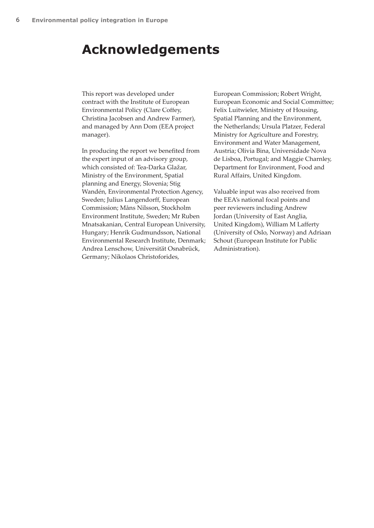## **Acknowledgements**

This report was developed under contract with the Institute of European Environmental Policy (Clare Coffey, Christina Jacobsen and Andrew Farmer), and managed by Ann Dom (EEA project manager).

In producing the report we benefited from the expert input of an advisory group, which consisted of: Tea-Darka Glažar, Ministry of the Environment, Spatial planning and Energy, Slovenia; Stig Wandén, Environmental Protection Agency, Sweden; Julius Langendorff, European Commission; Måns Nilsson, Stockholm Environment Institute, Sweden; Mr Ruben Mnatsakanian, Central European University, Hungary; Henrik Gudmundsson, National Environmental Research Institute, Denmark; Andrea Lenschow, Universität Osnabrück, Germany; Nikolaos Christoforides,

European Commission; Robert Wright, European Economic and Social Committee; Felix Luitwieler, Ministry of Housing, Spatial Planning and the Environment, the Netherlands; Ursula Platzer, Federal Ministry for Agriculture and Forestry, Environment and Water Management, Austria; Olivia Bina, Universidade Nova de Lisboa, Portugal; and Maggie Charnley, Department for Environment, Food and Rural Affairs, United Kingdom.

Valuable input was also received from the EEA's national focal points and peer reviewers including Andrew Jordan (University of East Anglia, United Kingdom), William M Lafferty (University of Oslo, Norway) and Adriaan Schout (European Institute for Public Administration).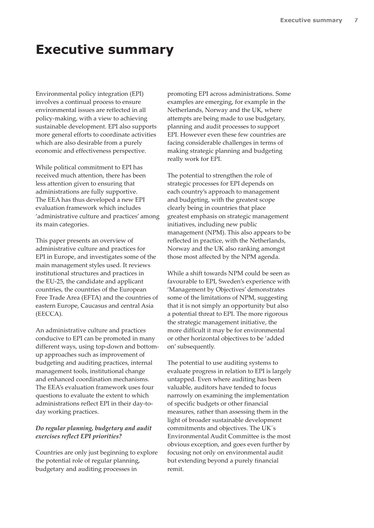## **Executive summary**

Environmental policy integration (EPI) involves a continual process to ensure environmental issues are reflected in all policy-making, with a view to achieving sustainable development. EPI also supports more general efforts to coordinate activities which are also desirable from a purely economic and effectiveness perspective.

While political commitment to EPI has received much attention, there has been less attention given to ensuring that administrations are fully supportive. The EEA has thus developed a new EPI evaluation framework which includes 'administrative culture and practices' among its main categories.

This paper presents an overview of administrative culture and practices for EPI in Europe, and investigates some of the main management styles used. It reviews institutional structures and practices in the EU-25, the candidate and applicant countries, the countries of the European Free Trade Area (EFTA) and the countries of eastern Europe, Caucasus and central Asia (EECCA).

An administrative culture and practices conducive to EPI can be promoted in many different ways, using top-down and bottomup approaches such as improvement of budgeting and auditing practices, internal management tools, institutional change and enhanced coordination mechanisms. The EEA's evaluation framework uses four questions to evaluate the extent to which administrations reflect EPI in their day-today working practices.

#### *Do regular planning, budgetary and audit exercises reflect EPI priorities?*

Countries are only just beginning to explore the potential role of regular planning, budgetary and auditing processes in

promoting EPI across administrations. Some examples are emerging, for example in the Netherlands, Norway and the UK, where attempts are being made to use budgetary, planning and audit processes to support EPI. However even these few countries are facing considerable challenges in terms of making strategic planning and budgeting really work for EPI.

The potential to strengthen the role of strategic processes for EPI depends on each country's approach to management and budgeting, with the greatest scope clearly being in countries that place greatest emphasis on strategic management initiatives, including new public management (NPM). This also appears to be reflected in practice, with the Netherlands, Norway and the UK also ranking amongst those most affected by the NPM agenda.

While a shift towards NPM could be seen as favourable to EPI, Sweden's experience with 'Management by Objectives' demonstrates some of the limitations of NPM, suggesting that it is not simply an opportunity but also a potential threat to EPI. The more rigorous the strategic management initiative, the more difficult it may be for environmental or other horizontal objectives to be 'added on' subsequently.

The potential to use auditing systems to evaluate progress in relation to EPI is largely untapped. Even where auditing has been valuable, auditors have tended to focus narrowly on examining the implementation of specific budgets or other financial measures, rather than assessing them in the light of broader sustainable development commitments and objectives. The UK´s Environmental Audit Committee is the most obvious exception, and goes even further by focusing not only on environmental audit but extending beyond a purely financial remit.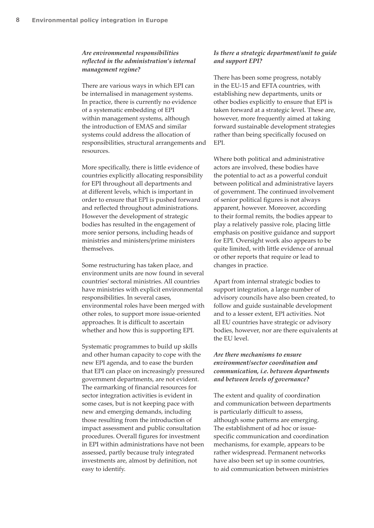### *Are environmental responsibilities reflected in the administration's internal management regime?*

There are various ways in which EPI can be internalised in management systems. In practice, there is currently no evidence of a systematic embedding of EPI within management systems, although the introduction of EMAS and similar systems could address the allocation of responsibilities, structural arrangements and resources.

More specifically, there is little evidence of countries explicitly allocating responsibility for EPI throughout all departments and at different levels, which is important in order to ensure that EPI is pushed forward and reflected throughout administrations. However the development of strategic bodies has resulted in the engagement of more senior persons, including heads of ministries and ministers/prime ministers themselves.

Some restructuring has taken place, and environment units are now found in several countries' sectoral ministries. All countries have ministries with explicit environmental responsibilities. In several cases, environmental roles have been merged with other roles, to support more issue-oriented approaches. It is difficult to ascertain whether and how this is supporting EPI.

Systematic programmes to build up skills and other human capacity to cope with the new EPI agenda, and to ease the burden that EPI can place on increasingly pressured government departments, are not evident. The earmarking of financial resources for sector integration activities is evident in some cases, but is not keeping pace with new and emerging demands, including those resulting from the introduction of impact assessment and public consultation procedures. Overall figures for investment in EPI within administrations have not been assessed, partly because truly integrated investments are, almost by definition, not easy to identify.

#### *Is there a strategic department/unit to guide and support EPI?*

There has been some progress, notably in the EU-15 and EFTA countries, with establishing new departments, units or other bodies explicitly to ensure that EPI is taken forward at a strategic level. These are, however, more frequently aimed at taking forward sustainable development strategies rather than being specifically focused on EPI.

Where both political and administrative actors are involved, these bodies have the potential to act as a powerful conduit between political and administrative layers of government. The continued involvement of senior political figures is not always apparent, however. Moreover, according to their formal remits, the bodies appear to play a relatively passive role, placing little emphasis on positive guidance and support for EPI. Oversight work also appears to be quite limited, with little evidence of annual or other reports that require or lead to changes in practice.

Apart from internal strategic bodies to support integration, a large number of advisory councils have also been created, to follow and guide sustainable development and to a lesser extent, EPI activities. Not all EU countries have strategic or advisory bodies, however, nor are there equivalents at the EU level.

### *Are there mechanisms to ensure environment/sector coordination and communication, i.e. between departments and between levels of governance?*

The extent and quality of coordination and communication between departments is particularly difficult to assess, although some patterns are emerging. The establishment of ad hoc or issuespecific communication and coordination mechanisms, for example, appears to be rather widespread. Permanent networks have also been set up in some countries, to aid communication between ministries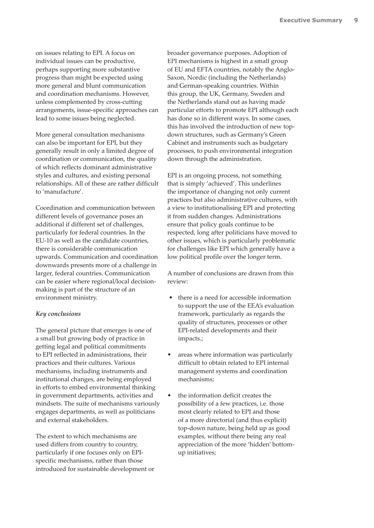on issues relating to EPI. A focus on individual issues can be productive, perhaps supporting more substantive progress than might be expected using more general and blunt communication and coordination mechanisms. However, unless complemented by cross-cutting arrangements, issue-specific approaches can lead to some issues being neglected.

More general consultation mechanisms can also be important for EPI, but they generally result in only a limited degree of coordination or communication, the quality of which reflects dominant administrative styles and cultures, and existing personal relationships. All of these are rather difficult to 'manufacture'.

Coordination and communication between different levels of governance poses an additional if different set of challenges, particularly for federal countries. In the EU-10 as well as the candidate countries, there is considerable communication upwards. Communication and coordination downwards presents more of a challenge in larger, federal countries. Communication can be easier where regional/local decisionmaking is part of the structure of an environment ministry.

#### *Key conclusions*

The general picture that emerges is one of a small but growing body of practice in getting legal and political commitments to EPI reflected in administrations, their practices and their cultures. Various mechanisms, including instruments and institutional changes, are being employed in efforts to embed environmental thinking in government departments, activities and mindsets. The suite of mechanisms variously engages departments, as well as politicians and external stakeholders.

The extent to which mechanisms are used differs from country to country, particularly if one focuses only on EPIspecific mechanisms, rather than those introduced for sustainable development or broader governance purposes. Adoption of EPI mechanisms is highest in a small group of EU and EFTA countries, notably the Anglo-Saxon, Nordic (including the Netherlands) and German-speaking countries. Within this group, the UK, Germany, Sweden and the Netherlands stand out as having made particular efforts to promote EPI although each has done so in different ways. In some cases, this has involved the introduction of new topdown structures, such as Germany's Green Cabinet and instruments such as budgetary processes, to push environmental integration down through the administration.

EPI is an ongoing process, not something that is simply 'achieved'. This underlines the importance of changing not only current practices but also administrative cultures, with a view to institutionalising EPI and protecting it from sudden changes. Administrations ensure that policy goals continue to be respected, long after politicians have moved to other issues, which is particularly problematic for challenges like EPI which generally have a low political profile over the longer term.

A number of conclusions are drawn from this review:

- there is a need for accessible information to support the use of the EEA's evaluation framework, particularly as regards the quality of structures, processes or other EPI-related developments and their impacts.;
- areas where information was particularly difficult to obtain related to EPI internal management systems and coordination mechanisms;
- the information deficit creates the possibility of a few practices, i.e. those most clearly related to EPI and those of a more directorial (and thus explicit) top-down nature, being held up as good examples, without there being any real appreciation of the more 'hidden' bottomup initiatives;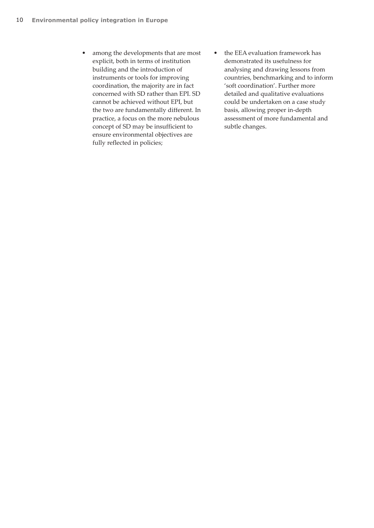- among the developments that are most explicit, both in terms of institution building and the introduction of instruments or tools for improving coordination, the majority are in fact concerned with SD rather than EPI. SD cannot be achieved without EPI, but the two are fundamentally different. In practice, a focus on the more nebulous concept of SD may be insufficient to ensure environmental objectives are fully reflected in policies;
- the EEA evaluation framework has demonstrated its usefulness for analysing and drawing lessons from countries, benchmarking and to inform 'soft coordination'. Further more detailed and qualitative evaluations could be undertaken on a case study basis, allowing proper in-depth assessment of more fundamental and subtle changes.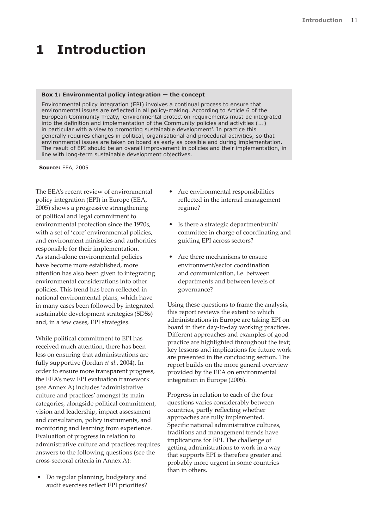# **1 Introduction**

#### **Box 1: Environmental policy integration — the concept**

Environmental policy integration (EPI) involves a continual process to ensure that environmental issues are reflected in all policy-making. According to Article 6 of the European Community Treaty, 'environmental protection requirements must be integrated into the definition and implementation of the Community policies and activities  $(...)$ in particular with a view to promoting sustainable development'. In practice this generally requires changes in political, organisational and procedural activities, so that environmental issues are taken on board as early as possible and during implementation. The result of EPI should be an overall improvement in policies and their implementation, in line with long-term sustainable development objectives.

**Source:** EEA, 2005

The EEA's recent review of environmental policy integration (EPI) in Europe (EEA, 2005) shows a progressive strengthening of political and legal commitment to environmental protection since the 1970s, with a set of 'core' environmental policies, and environment ministries and authorities responsible for their implementation. As stand-alone environmental policies have become more established, more attention has also been given to integrating environmental considerations into other policies. This trend has been reflected in national environmental plans, which have in many cases been followed by integrated sustainable development strategies (SDSs) and, in a few cases, EPI strategies.

While political commitment to EPI has received much attention, there has been less on ensuring that administrations are fully supportive (Jordan *et al*., 2004). In order to ensure more transparent progress, the EEA's new EPI evaluation framework (see Annex A) includes 'administrative culture and practices' amongst its main categories, alongside political commitment, vision and leadership, impact assessment and consultation, policy instruments, and monitoring and learning from experience. Evaluation of progress in relation to administrative culture and practices requires answers to the following questions (see the cross-sectoral criteria in Annex A):

 • Do regular planning, budgetary and audit exercises reflect EPI priorities?

- Are environmental responsibilities reflected in the internal management regime?
- Is there a strategic department/unit/ committee in charge of coordinating and guiding EPI across sectors?
- Are there mechanisms to ensure environment/sector coordination and communication, i.e. between departments and between levels of governance?

Using these questions to frame the analysis, this report reviews the extent to which administrations in Europe are taking EPI on board in their day-to-day working practices. Different approaches and examples of good practice are highlighted throughout the text; key lessons and implications for future work are presented in the concluding section. The report builds on the more general overview provided by the EEA on environmental integration in Europe (2005).

Progress in relation to each of the four questions varies considerably between countries, partly reflecting whether approaches are fully implemented. Specific national administrative cultures, traditions and management trends have implications for EPI. The challenge of getting administrations to work in a way that supports EPI is therefore greater and probably more urgent in some countries than in others.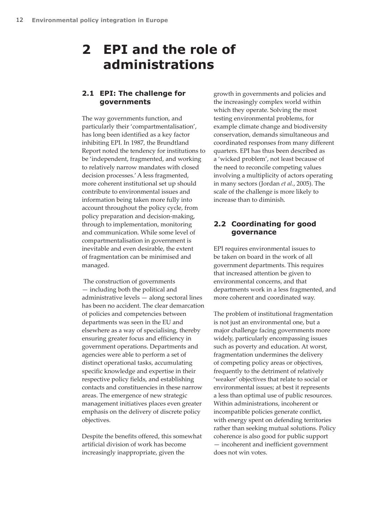## **2 EPI and the role of administrations**

## **2.1 EPI: The challenge for governments**

The way governments function, and particularly their 'compartmentalisation', has long been identified as a key factor inhibiting EPI. In 1987, the Brundtland Report noted the tendency for institutions to be 'independent, fragmented, and working to relatively narrow mandates with closed decision processes.' A less fragmented, more coherent institutional set up should contribute to environmental issues and information being taken more fully into account throughout the policy cycle, from policy preparation and decision-making, through to implementation, monitoring and communication. While some level of compartmentalisation in government is inevitable and even desirable, the extent of fragmentation can be minimised and managed.

 The construction of governments — including both the political and administrative levels — along sectoral lines has been no accident. The clear demarcation of policies and competencies between departments was seen in the EU and elsewhere as a way of specialising, thereby ensuring greater focus and efficiency in government operations. Departments and agencies were able to perform a set of distinct operational tasks, accumulating specific knowledge and expertise in their respective policy fields, and establishing contacts and constituencies in these narrow areas. The emergence of new strategic management initiatives places even greater emphasis on the delivery of discrete policy objectives.

Despite the benefits offered, this somewhat artificial division of work has become increasingly inappropriate, given the

growth in governments and policies and the increasingly complex world within which they operate. Solving the most testing environmental problems, for example climate change and biodiversity conservation, demands simultaneous and coordinated responses from many different quarters. EPI has thus been described as a 'wicked problem', not least because of the need to reconcile competing values involving a multiplicity of actors operating in many sectors (Jordan *et al.*, 2005). The scale of the challenge is more likely to increase than to diminish.

## **2.2 Coordinating for good governance**

EPI requires environmental issues to be taken on board in the work of all government departments. This requires that increased attention be given to environmental concerns, and that departments work in a less fragmented, and more coherent and coordinated way.

The problem of institutional fragmentation is not just an environmental one, but a major challenge facing governments more widely, particularly encompassing issues such as poverty and education. At worst, fragmentation undermines the delivery of competing policy areas or objectives, frequently to the detriment of relatively 'weaker' objectives that relate to social or environmental issues; at best it represents a less than optimal use of public resources. Within administrations, incoherent or incompatible policies generate conflict, with energy spent on defending territories rather than seeking mutual solutions. Policy coherence is also good for public support — incoherent and inefficient government does not win votes.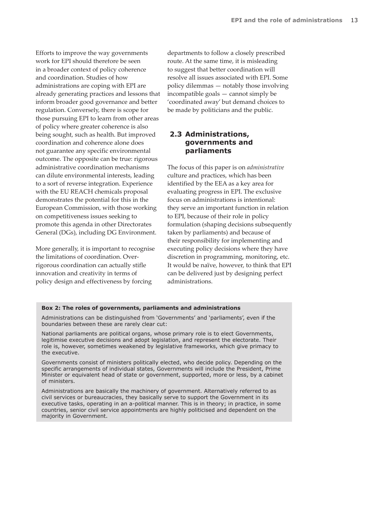Efforts to improve the way governments work for EPI should therefore be seen in a broader context of policy coherence and coordination. Studies of how administrations are coping with EPI are already generating practices and lessons that inform broader good governance and better regulation. Conversely, there is scope for those pursuing EPI to learn from other areas of policy where greater coherence is also being sought, such as health. But improved coordination and coherence alone does not guarantee any specific environmental outcome. The opposite can be true: rigorous administrative coordination mechanisms can dilute environmental interests, leading to a sort of reverse integration. Experience with the EU REACH chemicals proposal demonstrates the potential for this in the European Commission, with those working on competitiveness issues seeking to promote this agenda in other Directorates General (DGs), including DG Environment.

More generally, it is important to recognise the limitations of coordination. Overrigorous coordination can actually stifle innovation and creativity in terms of policy design and effectiveness by forcing

departments to follow a closely prescribed route. At the same time, it is misleading to suggest that better coordination will resolve all issues associated with EPI. Some policy dilemmas — notably those involving incompatible goals — cannot simply be 'coordinated away' but demand choices to be made by politicians and the public.

## **2.3 Administrations, governments and parliaments**

The focus of this paper is on *administrative* culture and practices, which has been identified by the EEA as a key area for evaluating progress in EPI. The exclusive focus on administrations is intentional: they serve an important function in relation to EPI, because of their role in policy formulation (shaping decisions subsequently taken by parliaments) and because of their responsibility for implementing and executing policy decisions where they have discretion in programming, monitoring, etc. It would be naïve, however, to think that EPI can be delivered just by designing perfect administrations.

#### **Box 2: The roles of governments, parliaments and administrations**

Administrations can be distinguished from 'Governments' and 'parliaments', even if the boundaries between these are rarely clear cut:

National parliaments are political organs, whose primary role is to elect Governments, legitimise executive decisions and adopt legislation, and represent the electorate. Their role is, however, sometimes weakened by legislative frameworks, which give primacy to the executive.

Governments consist of ministers politically elected, who decide policy. Depending on the specific arrangements of individual states, Governments will include the President, Prime Minister or equivalent head of state or government, supported, more or less, by a cabinet of ministers.

Administrations are basically the machinery of government. Alternatively referred to as civil services or bureaucracies, they basically serve to support the Government in its executive tasks, operating in an a-political manner. This is in theory; in practice, in some countries, senior civil service appointments are highly politicised and dependent on the majority in Government.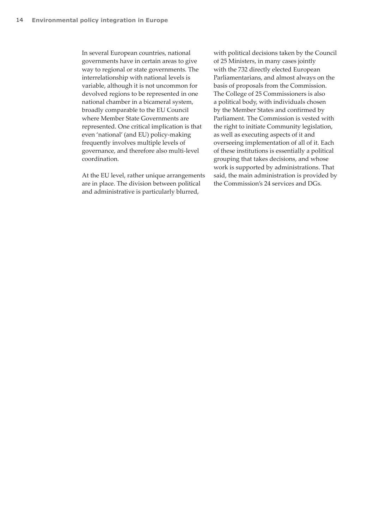In several European countries, national governments have in certain areas to give way to regional or state governments. The interrelationship with national levels is variable, although it is not uncommon for devolved regions to be represented in one national chamber in a bicameral system, broadly comparable to the EU Council where Member State Governments are represented. One critical implication is that even 'national' (and EU) policy-making frequently involves multiple levels of governance, and therefore also multi-level coordination.

At the EU level, rather unique arrangements are in place. The division between political and administrative is particularly blurred,

with political decisions taken by the Council of 25 Ministers, in many cases jointly with the 732 directly elected European Parliamentarians, and almost always on the basis of proposals from the Commission. The College of 25 Commissioners is also a political body, with individuals chosen by the Member States and confirmed by Parliament. The Commission is vested with the right to initiate Community legislation, as well as executing aspects of it and overseeing implementation of all of it. Each of these institutions is essentially a political grouping that takes decisions, and whose work is supported by administrations. That said, the main administration is provided by the Commission's 24 services and DGs.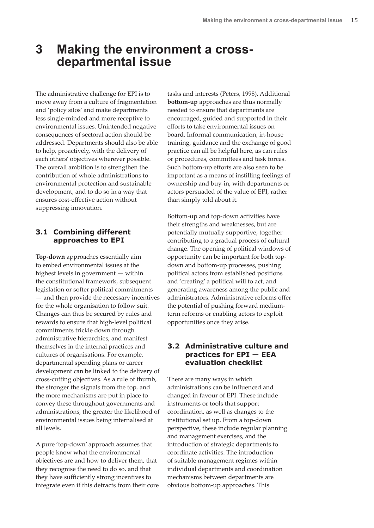## **3 Making the environment a crossdepartmental issue**

The administrative challenge for EPI is to move away from a culture of fragmentation and 'policy silos' and make departments less single-minded and more receptive to environmental issues. Unintended negative consequences of sectoral action should be addressed. Departments should also be able to help, proactively, with the delivery of each others' objectives wherever possible. The overall ambition is to strengthen the contribution of whole administrations to environmental protection and sustainable development, and to do so in a way that ensures cost-effective action without suppressing innovation.

### **3.1 Combining different approaches to EPI**

**Top-down** approaches essentially aim to embed environmental issues at the highest levels in government — within the constitutional framework, subsequent legislation or softer political commitments — and then provide the necessary incentives for the whole organisation to follow suit. Changes can thus be secured by rules and rewards to ensure that high-level political commitments trickle down through administrative hierarchies, and manifest themselves in the internal practices and cultures of organisations. For example, departmental spending plans or career development can be linked to the delivery of cross-cutting objectives. As a rule of thumb, the stronger the signals from the top, and the more mechanisms are put in place to convey these throughout governments and administrations, the greater the likelihood of environmental issues being internalised at all levels.

A pure 'top-down' approach assumes that people know what the environmental objectives are and how to deliver them, that they recognise the need to do so, and that they have sufficiently strong incentives to integrate even if this detracts from their core tasks and interests (Peters, 1998). Additional **bottom-up** approaches are thus normally needed to ensure that departments are encouraged, guided and supported in their efforts to take environmental issues on board. Informal communication, in-house training, guidance and the exchange of good practice can all be helpful here, as can rules or procedures, committees and task forces. Such bottom-up efforts are also seen to be important as a means of instilling feelings of ownership and buy-in, with departments or actors persuaded of the value of EPI, rather than simply told about it.

Bottom-up and top-down activities have their strengths and weaknesses, but are potentially mutually supportive, together contributing to a gradual process of cultural change. The opening of political windows of opportunity can be important for both topdown and bottom-up processes, pushing political actors from established positions and 'creating' a political will to act, and generating awareness among the public and administrators. Administrative reforms offer the potential of pushing forward mediumterm reforms or enabling actors to exploit opportunities once they arise.

## **3.2 Administrative culture and practices for EPI — EEA evaluation checklist**

There are many ways in which administrations can be influenced and changed in favour of EPI. These include instruments or tools that support coordination, as well as changes to the institutional set up. From a top-down perspective, these include regular planning and management exercises, and the introduction of strategic departments to coordinate activities. The introduction of suitable management regimes within individual departments and coordination mechanisms between departments are obvious bottom-up approaches. This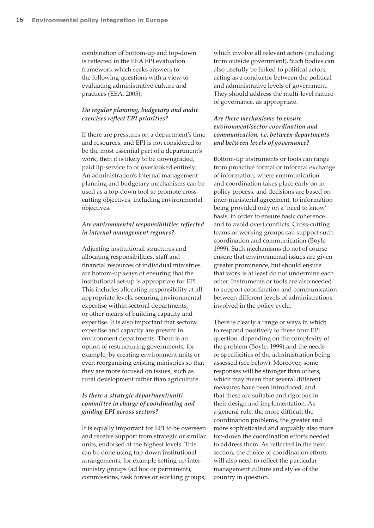combination of bottom-up and top-down is reflected in the EEA EPI evaluation framework which seeks answers to the following questions with a view to evaluating administrative culture and practices (EEA, 2005):

#### *Do regular planning, budgetary and audit exercises reflect EPI priorities?*

If there are pressures on a department's time and resources, and EPI is not considered to be the most essential part of a department's work, then it is likely to be downgraded, paid lip-service to or overlooked entirely. An administration's internal management planning and budgetary mechanisms can be used as a top-down tool to promote crosscutting objectives, including environmental objectives.

#### *Are environmental responsibilities reflected in internal management regimes?*

Adjusting institutional structures and allocating responsibilities, staff and financial resources of individual ministries are bottom-up ways of ensuring that the institutional set-up is appropriate for EPI. This includes allocating responsibility at all appropriate levels, securing environmental expertise within sectoral departments, or other means of building capacity and expertise. It is also important that sectoral expertise and capacity are present in environment departments. There is an option of restructuring governments, for example, by creating environment units or even reorganising existing ministries so that they are more focused on issues, such as rural development rather than agriculture.

### *Is there a strategic department/unit/ committee in charge of coordinating and guiding EPI across sectors?*

It is equally important for EPI to be overseen and receive support from strategic or similar units, endorsed at the highest levels. This can be done using top-down institutional arrangements, for example setting up interministry groups (ad hoc or permanent), commissions, task forces or working groups,

which involve all relevant actors (including from outside government). Such bodies can also usefully be linked to political actors, acting as a conductor between the political and administrative levels of government. They should address the multi-level nature of governance, as appropriate.

### *Are there mechanisms to ensure environment/sector coordination and communication, i.e. between departments and between levels of governance?*

Bottom-up instruments or tools can range from proactive formal or informal exchange of information, where communication and coordination takes place early on in policy process, and decisions are based on inter-ministerial agreement, to information being provided only on a 'need to know' basis, in order to ensure basic coherence and to avoid overt conflicts. Cross-cutting teams or working groups can support such coordination and communication (Boyle 1999). Such mechanisms do not of course ensure that environmental issues are given greater prominence, but should ensure that work is at least do not undermine each other. Instruments or tools are also needed to support coordination and communication between different levels of administrations involved in the policy cycle.

There is clearly a range of ways in which to respond positively to these four EPI question, depending on the complexity of the problem (Boyle, 1999) and the needs or specificities of the administration being assessed (see below). Moreover, some responses will be stronger than others, which may mean that several different measures have been introduced, and that these are suitable and rigorous in their design and implementation. As a general rule, the more difficult the coordination problems, the greater and more sophisticated and arguably also more top-down the coordination efforts needed to address them. As reflected in the next section, the choice of coordination efforts will also need to reflect the particular management culture and styles of the country in question.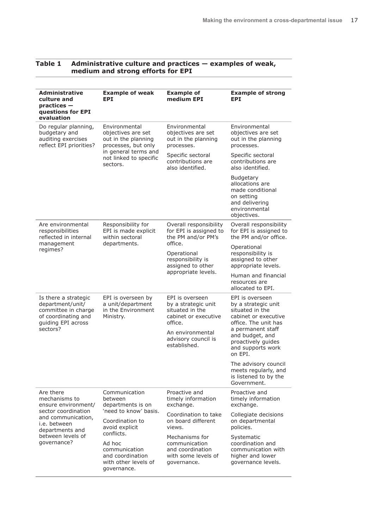| <b>Administrative</b><br>culture and<br>$practices -$<br>questions for EPI<br>evaluation                     | <b>Example of weak</b><br>EPI                                                                                                                                                                                   | <b>Example of</b><br>medium EPI                                                                                                                         | <b>Example of strong</b><br>EPT.                                                                                        |
|--------------------------------------------------------------------------------------------------------------|-----------------------------------------------------------------------------------------------------------------------------------------------------------------------------------------------------------------|---------------------------------------------------------------------------------------------------------------------------------------------------------|-------------------------------------------------------------------------------------------------------------------------|
| Do regular planning,<br>budgetary and<br>auditing exercises<br>reflect EPI priorities?                       | Environmental<br>objectives are set<br>out in the planning<br>processes, but only                                                                                                                               | Environmental<br>objectives are set<br>out in the planning<br>processes.                                                                                | Environmental<br>objectives are set<br>out in the planning<br>processes.                                                |
|                                                                                                              | in general terms and<br>not linked to specific<br>sectors.                                                                                                                                                      | Specific sectoral<br>contributions are<br>also identified.                                                                                              | Specific sectoral<br>contributions are<br>also identified.                                                              |
|                                                                                                              |                                                                                                                                                                                                                 |                                                                                                                                                         | <b>Budgetary</b><br>allocations are<br>made conditional<br>on setting<br>and delivering<br>environmental<br>objectives. |
| Are environmental<br>responsibilities<br>reflected in internal                                               | Responsibility for<br>EPI is made explicit<br>within sectoral                                                                                                                                                   | Overall responsibility<br>for EPI is assigned to<br>the PM and/or PM's                                                                                  | Overall responsibility<br>for EPI is assigned to<br>the PM and/or office.                                               |
| management<br>regimes?                                                                                       | departments.                                                                                                                                                                                                    | office.<br>Operational<br>responsibility is<br>assigned to other<br>appropriate levels.                                                                 | Operational<br>responsibility is<br>assigned to other<br>appropriate levels.                                            |
|                                                                                                              |                                                                                                                                                                                                                 |                                                                                                                                                         | Human and financial<br>resources are<br>allocated to EPI.                                                               |
| Is there a strategic<br>department/unit/<br>committee in charge<br>of coordinating and<br>guiding EPI across | EPI is overseen by<br>a unit/department<br>in the Environment<br>Ministry.                                                                                                                                      | EPI is overseen<br>by a strategic unit<br>situated in the<br>cabinet or executive<br>office.<br>An environmental<br>advisory council is<br>established. | EPI is overseen<br>by a strategic unit<br>situated in the<br>cabinet or executive<br>office. The unit has               |
| sectors?                                                                                                     |                                                                                                                                                                                                                 |                                                                                                                                                         | a permanent staff<br>and budget, and<br>proactively guides<br>and supports work<br>on EPI.                              |
|                                                                                                              |                                                                                                                                                                                                                 |                                                                                                                                                         | The advisory council<br>meets regularly, and<br>is listened to by the<br>Government.                                    |
| Are there<br>mechanisms to<br>ensure environment/                                                            | Communication<br>between<br>departments is on<br>'need to know' basis.<br>Coordination to<br>avoid explicit<br>conflicts.<br>Ad hoc<br>communication<br>and coordination<br>with other levels of<br>governance. | Proactive and<br>timely information<br>exchange.                                                                                                        | Proactive and<br>timely information<br>exchange.                                                                        |
| sector coordination<br>and communication,<br>i.e. between<br>departments and                                 |                                                                                                                                                                                                                 | Coordination to take<br>on board different<br>views.                                                                                                    | Collegiate decisions<br>on departmental<br>policies.                                                                    |
| between levels of<br>qovernance?                                                                             |                                                                                                                                                                                                                 | Mechanisms for<br>communication<br>and coordination<br>with some levels of<br>governance.                                                               | Systematic<br>coordination and<br>communication with<br>higher and lower<br>governance levels.                          |

#### **Table 1 Administrative culture and practices — examples of weak, medium and strong efforts for EPI**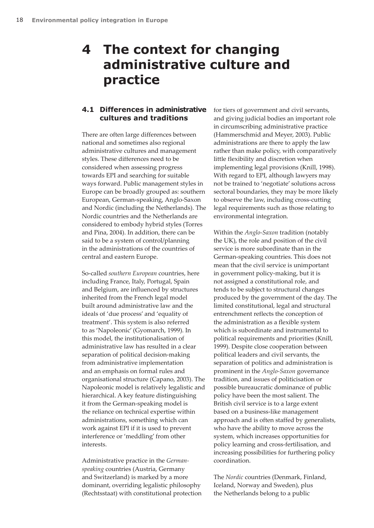## **4 The context for changing administrative culture and practice**

### **4.1 Differences in administrative cultures and traditions**

There are often large differences between national and sometimes also regional administrative cultures and management styles. These differences need to be considered when assessing progress towards EPI and searching for suitable ways forward. Public management styles in Europe can be broadly grouped as: southern European, German-speaking, Anglo-Saxon and Nordic (including the Netherlands). The Nordic countries and the Netherlands are considered to embody hybrid styles (Torres and Pina, 2004). In addition, there can be said to be a system of control/planning in the administrations of the countries of central and eastern Europe.

So-called *southern European* countries, here including France, Italy, Portugal, Spain and Belgium, are influenced by structures inherited from the French legal model built around administrative law and the ideals of 'due process' and 'equality of treatment'. This system is also referred to as 'Napoleonic' (Gyomarch, 1999). In this model, the institutionalisation of administrative law has resulted in a clear separation of political decision-making from administrative implementation and an emphasis on formal rules and organisational structure (Capano, 2003). The Napoleonic model is relatively legalistic and hierarchical. A key feature distinguishing it from the German-speaking model is the reliance on technical expertise within administrations, something which can work against EPI if it is used to prevent interference or 'meddling' from other interests.

Administrative practice in the *Germanspeaking* countries (Austria, Germany and Switzerland) is marked by a more dominant, overriding legalistic philosophy (Rechtsstaat) with constitutional protection

for tiers of government and civil servants, and giving judicial bodies an important role in circumscribing administrative practice (Hammerschmid and Meyer, 2003). Public administrations are there to apply the law rather than make policy, with comparatively little flexibility and discretion when implementing legal provisions (Knill, 1998). With regard to EPI, although lawyers may not be trained to 'negotiate' solutions across sectoral boundaries, they may be more likely to observe the law, including cross-cutting legal requirements such as those relating to environmental integration.

Within the *Anglo-Saxon* tradition (notably the UK), the role and position of the civil service is more subordinate than in the German-speaking countries. This does not mean that the civil service is unimportant in government policy-making, but it is not assigned a constitutional role, and tends to be subject to structural changes produced by the government of the day. The limited constitutional, legal and structural entrenchment reflects the conception of the administration as a flexible system which is subordinate and instrumental to political requirements and priorities (Knill, 1999). Despite close cooperation between political leaders and civil servants, the separation of politics and administration is prominent in the *Anglo-Saxon* governance tradition, and issues of politicisation or possible bureaucratic dominance of public policy have been the most salient. The British civil service is to a large extent based on a business-like management approach and is often staffed by generalists, who have the ability to move across the system, which increases opportunities for policy learning and cross-fertilisation, and increasing possibilities for furthering policy coordination.

The *Nordic* countries (Denmark, Finland, Iceland, Norway and Sweden), plus the Netherlands belong to a public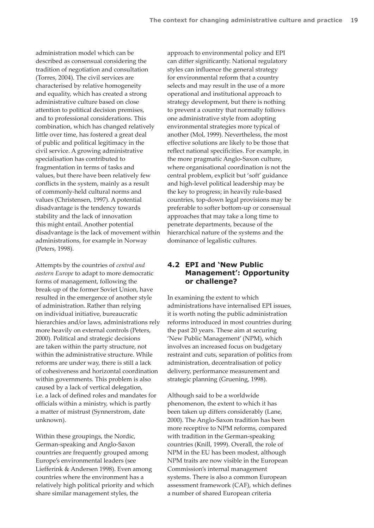administration model which can be described as consensual considering the tradition of negotiation and consultation (Torres, 2004). The civil services are characterised by relative homogeneity and equality, which has created a strong administrative culture based on close attention to political decision premises, and to professional considerations. This combination, which has changed relatively little over time, has fostered a great deal of public and political legitimacy in the civil service. A growing administrative specialisation has contributed to fragmentation in terms of tasks and values, but there have been relatively few conflicts in the system, mainly as a result of commonly-held cultural norms and values (Christensen, 1997). A potential disadvantage is the tendency towards stability and the lack of innovation this might entail. Another potential disadvantage is the lack of movement within administrations, for example in Norway (Peters, 1998).

Attempts by the countries of *central and eastern Europe* to adapt to more democratic forms of management, following the break-up of the former Soviet Union, have resulted in the emergence of another style of administration. Rather than relying on individual initiative, bureaucratic hierarchies and/or laws, administrations rely more heavily on external controls (Peters, 2000). Political and strategic decisions are taken within the party structure, not within the administrative structure. While reforms are under way, there is still a lack of cohesiveness and horizontal coordination within governments. This problem is also caused by a lack of vertical delegation, i.e. a lack of defined roles and mandates for officials within a ministry, which is partly a matter of mistrust (Synnerstrom, date unknown).

Within these groupings, the Nordic, German-speaking and Anglo-Saxon countries are frequently grouped among Europe's environmental leaders (see Liefferink & Andersen 1998). Even among countries where the environment has a relatively high political priority and which share similar management styles, the

approach to environmental policy and EPI can differ significantly. National regulatory styles can influence the general strategy for environmental reform that a country selects and may result in the use of a more operational and institutional approach to strategy development, but there is nothing to prevent a country that normally follows one administrative style from adopting environmental strategies more typical of another (Mol, 1999). Nevertheless, the most effective solutions are likely to be those that reflect national specificities. For example, in the more pragmatic Anglo-Saxon culture, where organisational coordination is not the central problem, explicit but 'soft' guidance and high-level political leadership may be the key to progress; in heavily rule-based countries, top-down legal provisions may be preferable to softer bottom-up or consensual approaches that may take a long time to penetrate departments, because of the hierarchical nature of the systems and the dominance of legalistic cultures.

## **4.2 EPI and 'New Public Management': Opportunity or challenge?**

In examining the extent to which administrations have internalised EPI issues, it is worth noting the public administration reforms introduced in most countries during the past 20 years. These aim at securing 'New Public Management' (NPM), which involves an increased focus on budgetary restraint and cuts, separation of politics from administration, decentralisation of policy delivery, performance measurement and strategic planning (Gruening, 1998).

Although said to be a worldwide phenomenon, the extent to which it has been taken up differs considerably (Lane, 2000). The Anglo-Saxon tradition has been more receptive to NPM reforms, compared with tradition in the German-speaking countries (Knill, 1999). Overall, the role of NPM in the EU has been modest, although NPM traits are now visible in the European Commission's internal management systems. There is also a common European assessment framework (CAF), which defines a number of shared European criteria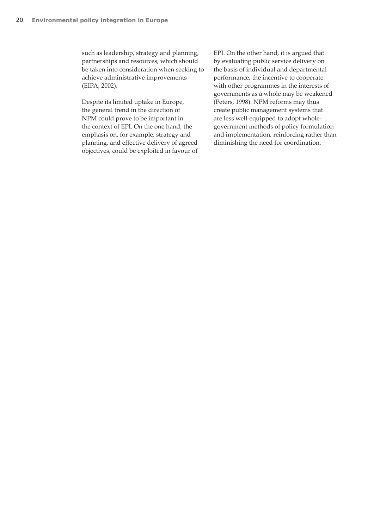such as leadership, strategy and planning, partnerships and resources, which should be taken into consideration when seeking to achieve administrative improvements (EIPA, 2002).

Despite its limited uptake in Europe, the general trend in the direction of NPM could prove to be important in the context of EPI. On the one hand, the emphasis on, for example, strategy and planning, and effective delivery of agreed objectives, could be exploited in favour of EPI. On the other hand, it is argued that by evaluating public service delivery on the basis of individual and departmental performance, the incentive to cooperate with other programmes in the interests of governments as a whole may be weakened (Peters, 1998). NPM reforms may thus create public management systems that are less well-equipped to adopt wholegovernment methods of policy formulation and implementation, reinforcing rather than diminishing the need for coordination.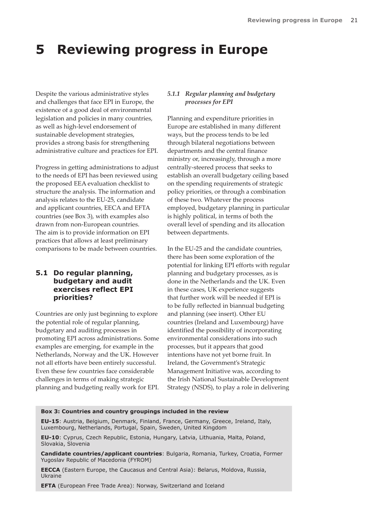## **5 Reviewing progress in Europe**

Despite the various administrative styles and challenges that face EPI in Europe, the existence of a good deal of environmental legislation and policies in many countries, as well as high-level endorsement of sustainable development strategies, provides a strong basis for strengthening administrative culture and practices for EPI.

Progress in getting administrations to adjust to the needs of EPI has been reviewed using the proposed EEA evaluation checklist to structure the analysis. The information and analysis relates to the EU-25, candidate and applicant countries, EECA and EFTA countries (see Box 3), with examples also drawn from non-European countries. The aim is to provide information on EPI practices that allows at least preliminary comparisons to be made between countries.

### **5.1 Do regular planning, budgetary and audit exercises reflect EPI priorities?**

Countries are only just beginning to explore the potential role of regular planning, budgetary and auditing processes in promoting EPI across administrations. Some examples are emerging, for example in the Netherlands, Norway and the UK. However not all efforts have been entirely successful. Even these few countries face considerable challenges in terms of making strategic planning and budgeting really work for EPI.

#### *5.1.1 Regular planning and budgetary processes for EPI*

Planning and expenditure priorities in Europe are established in many different ways, but the process tends to be led through bilateral negotiations between departments and the central finance ministry or, increasingly, through a more centrally-steered process that seeks to establish an overall budgetary ceiling based on the spending requirements of strategic policy priorities, or through a combination of these two. Whatever the process employed, budgetary planning in particular is highly political, in terms of both the overall level of spending and its allocation between departments.

In the EU-25 and the candidate countries, there has been some exploration of the potential for linking EPI efforts with regular planning and budgetary processes, as is done in the Netherlands and the UK. Even in these cases, UK experience suggests that further work will be needed if EPI is to be fully reflected in biannual budgeting and planning (see insert). Other EU countries (Ireland and Luxembourg) have identified the possibility of incorporating environmental considerations into such processes, but it appears that good intentions have not yet borne fruit. In Ireland, the Government's Strategic Management Initiative was, according to the Irish National Sustainable Development Strategy (NSDS), to play a role in delivering

#### **Box 3: Countries and country groupings included in the review**

**EU-15**: Austria, Belgium, Denmark, Finland, France, Germany, Greece, Ireland, Italy, Luxembourg, Netherlands, Portugal, Spain, Sweden, United Kingdom

**EU-10**: Cyprus, Czech Republic, Estonia, Hungary, Latvia, Lithuania, Malta, Poland, Slovakia, Slovenia

**Candidate countries/applicant countries**: Bulgaria, Romania, Turkey, Croatia, Former Yugoslav Republic of Macedonia (FYROM)

**EECCA** (Eastern Europe, the Caucasus and Central Asia): Belarus, Moldova, Russia, Ukraine

**EFTA** (European Free Trade Area): Norway, Switzerland and Iceland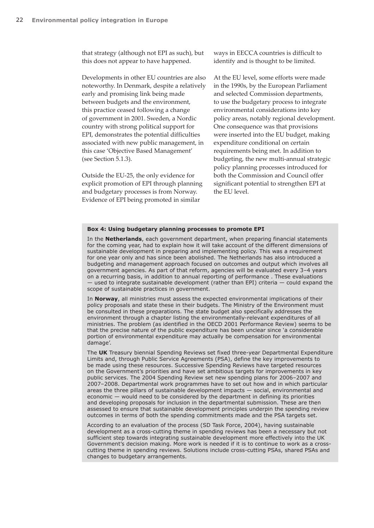that strategy (although not EPI as such), but this does not appear to have happened.

Developments in other EU countries are also noteworthy. In Denmark, despite a relatively early and promising link being made between budgets and the environment, this practice ceased following a change of government in 2001. Sweden, a Nordic country with strong political support for EPI, demonstrates the potential difficulties associated with new public management, in this case 'Objective Based Management' (see Section 5.1.3).

Outside the EU-25, the only evidence for explicit promotion of EPI through planning and budgetary processes is from Norway. Evidence of EPI being promoted in similar

ways in EECCA countries is difficult to identify and is thought to be limited.

At the EU level, some efforts were made in the 1990s, by the European Parliament and selected Commission departments, to use the budgetary process to integrate environmental considerations into key policy areas, notably regional development. One consequence was that provisions were inserted into the EU budget, making expenditure conditional on certain requirements being met. In addition to budgeting, the new multi-annual strategic policy planning processes introduced for both the Commission and Council offer significant potential to strengthen EPI at the EU level.

#### **Box 4: Using budgetary planning processes to promote EPI**

In the **Netherlands**, each government department, when preparing financial statements for the coming year, had to explain how it will take account of the different dimensions of sustainable development in preparing and implementing policy. This was a requirement for one year only and has since been abolished. The Netherlands has also introduced a budgeting and management approach focused on outcomes and output which involves all government agencies. As part of that reform, agencies will be evaluated every 3–4 years on a recurring basis, in addition to annual reporting of performance . These evaluations — used to integrate sustainable development (rather than EPI) criteria — could expand the scope of sustainable practices in government.

In **Norway**, all ministries must assess the expected environmental implications of their policy proposals and state these in their budgets. The Ministry of the Environment must be consulted in these preparations. The state budget also specifically addresses the environment through a chapter listing the environmentally-relevant expenditures of all ministries. The problem (as identified in the OECD 2001 Performance Review) seems to be that the precise nature of the public expenditure has been unclear since 'a considerable portion of environmental expenditure may actually be compensation for environmental damage'.

The **UK** Treasury biennial Spending Reviews set fixed three-year Departmental Expenditure Limits and, through Public Service Agreements (PSA), define the key improvements to be made using these resources. Successive Spending Reviews have targeted resources on the Government's priorities and have set ambitious targets for improvements in key public services. The 2004 Spending Review set new spending plans for 2006–2007 and 2007–2008. Departmental work programmes have to set out how and in which particular areas the three pillars of sustainable development impacts — social, environmental and economic — would need to be considered by the department in defining its priorities and developing proposals for inclusion in the departmental submission. These are then assessed to ensure that sustainable development principles underpin the spending review outcomes in terms of both the spending commitments made and the PSA targets set.

According to an evaluation of the process (SD Task Force, 2004), having sustainable development as a cross-cutting theme in spending reviews has been a necessary but not sufficient step towards integrating sustainable development more effectively into the UK Government's decision making. More work is needed if it is to continue to work as a crosscutting theme in spending reviews. Solutions include cross-cutting PSAs, shared PSAs and changes to budgetary arrangements.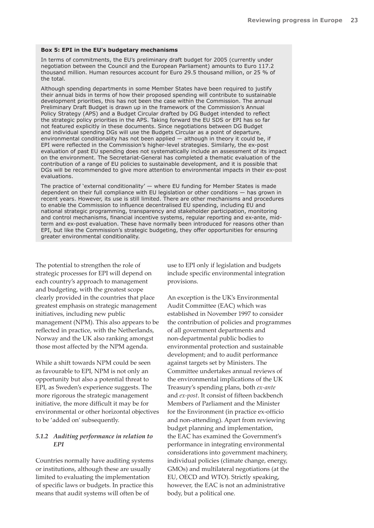#### **Box 5: EPI in the EU's budgetary mechanisms**

In terms of commitments, the EU's preliminary draft budget for 2005 (currently under negotiation between the Council and the European Parliament) amounts to Euro 117.2 thousand million. Human resources account for Euro 29.5 thousand million, or 25 % of the total.

Although spending departments in some Member States have been required to justify their annual bids in terms of how their proposed spending will contribute to sustainable development priorities, this has not been the case within the Commission. The annual Preliminary Draft Budget is drawn up in the framework of the Commission's Annual Policy Strategy (APS) and a Budget Circular drafted by DG Budget intended to reflect the strategic policy priorities in the APS. Taking forward the EU SDS or EPI has so far not featured explicitly in these documents. Since negotiations between DG Budget and individual spending DGs will use the Budgets Circular as a point of departure, environmental conditionality has not been applied — although in theory it could be, if EPI were reflected in the Commission's higher-level strategies. Similarly, the ex-post evaluation of past EU spending does not systematically include an assessment of its impact on the environment. The Secretariat-General has completed a thematic evaluation of the contribution of a range of EU policies to sustainable development, and it is possible that DGs will be recommended to give more attention to environmental impacts in their ex-post evaluations.

The practice of 'external conditionality'  $-$  where EU funding for Member States is made dependent on their full compliance with EU legislation or other conditions — has grown in recent years. However, its use is still limited. There are other mechanisms and procedures to enable the Commission to influence decentralised EU spending, including EU and national strategic programming, transparency and stakeholder participation, monitoring and control mechanisms, financial incentive systems, regular reporting and ex-ante, midterm and ex-post evaluation. These have normally been introduced for reasons other than EPI, but like the Commission's strategic budgeting, they offer opportunities for ensuring greater environmental conditionality.

The potential to strengthen the role of strategic processes for EPI will depend on each country's approach to management and budgeting, with the greatest scope clearly provided in the countries that place greatest emphasis on strategic management initiatives, including new public management (NPM). This also appears to be reflected in practice, with the Netherlands, Norway and the UK also ranking amongst those most affected by the NPM agenda.

While a shift towards NPM could be seen as favourable to EPI, NPM is not only an opportunity but also a potential threat to EPI, as Sweden's experience suggests. The more rigorous the strategic management initiative, the more difficult it may be for environmental or other horizontal objectives to be 'added on' subsequently.

#### *5.1.2 Auditing performance in relation to EPI*

Countries normally have auditing systems or institutions, although these are usually limited to evaluating the implementation of specific laws or budgets. In practice this means that audit systems will often be of

use to EPI only if legislation and budgets include specific environmental integration provisions.

An exception is the UK's Environmental Audit Committee (EAC) which was established in November 1997 to consider the contribution of policies and programmes of all government departments and non-departmental public bodies to environmental protection and sustainable development; and to audit performance against targets set by Ministers. The Committee undertakes annual reviews of the environmental implications of the UK Treasury's spending plans, both *ex-ante* and *ex-post*. It consist of fifteen backbench Members of Parliament and the Minister for the Environment (in practice ex-officio and non-attending). Apart from reviewing budget planning and implementation, the EAC has examined the Government's performance in integrating environmental considerations into government machinery, individual policies (climate change, energy, GMOs) and multilateral negotiations (at the EU, OECD and WTO). Strictly speaking, however, the EAC is not an administrative body, but a political one.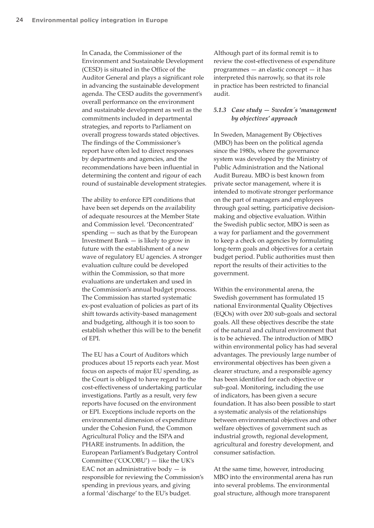In Canada, the Commissioner of the Environment and Sustainable Development (CESD) is situated in the Office of the Auditor General and plays a significant role in advancing the sustainable development agenda. The CESD audits the government's overall performance on the environment and sustainable development as well as the commitments included in departmental strategies, and reports to Parliament on overall progress towards stated objectives. The findings of the Commissioner's report have often led to direct responses by departments and agencies, and the recommendations have been influential in determining the content and rigour of each round of sustainable development strategies.

The ability to enforce EPI conditions that have been set depends on the availability of adequate resources at the Member State and Commission level. 'Deconcentrated' spending — such as that by the European Investment Bank — is likely to grow in future with the establishment of a new wave of regulatory EU agencies. A stronger evaluation culture could be developed within the Commission, so that more evaluations are undertaken and used in the Commission's annual budget process. The Commission has started systematic ex-post evaluation of policies as part of its shift towards activity-based management and budgeting, although it is too soon to establish whether this will be to the benefit of EPI.

The EU has a Court of Auditors which produces about 15 reports each year. Most focus on aspects of major EU spending, as the Court is obliged to have regard to the cost-effectiveness of undertaking particular investigations. Partly as a result, very few reports have focused on the environment or EPI. Exceptions include reports on the environmental dimension of expenditure under the Cohesion Fund, the Common Agricultural Policy and the ISPA and PHARE instruments. In addition, the European Parliament's Budgetary Control Committee ('COCOBU') — like the UK's EAC not an administrative body  $-$  is responsible for reviewing the Commission's spending in previous years, and giving a formal 'discharge' to the EU's budget.

Although part of its formal remit is to review the cost-effectiveness of expenditure programmes — an elastic concept — it has interpreted this narrowly, so that its role in practice has been restricted to financial audit.

#### *5.1.3 Case study — Sweden´s 'management by objectives' approach*

In Sweden, Management By Objectives (MBO) has been on the political agenda since the 1980s, where the governance system was developed by the Ministry of Public Administration and the National Audit Bureau. MBO is best known from private sector management, where it is intended to motivate stronger performance on the part of managers and employees through goal setting, participative decisionmaking and objective evaluation. Within the Swedish public sector, MBO is seen as a way for parliament and the government to keep a check on agencies by formulating long-term goals and objectives for a certain budget period. Public authorities must then report the results of their activities to the government.

Within the environmental arena, the Swedish government has formulated 15 national Environmental Quality Objectives (EQOs) with over 200 sub-goals and sectoral goals. All these objectives describe the state of the natural and cultural environment that is to be achieved. The introduction of MBO within environmental policy has had several advantages. The previously large number of environmental objectives has been given a clearer structure, and a responsible agency has been identified for each objective or sub-goal. Monitoring, including the use of indicators, has been given a secure foundation. It has also been possible to start a systematic analysis of the relationships between environmental objectives and other welfare objectives of government such as industrial growth, regional development, agricultural and forestry development, and consumer satisfaction.

At the same time, however, introducing MBO into the environmental arena has run into several problems. The environmental goal structure, although more transparent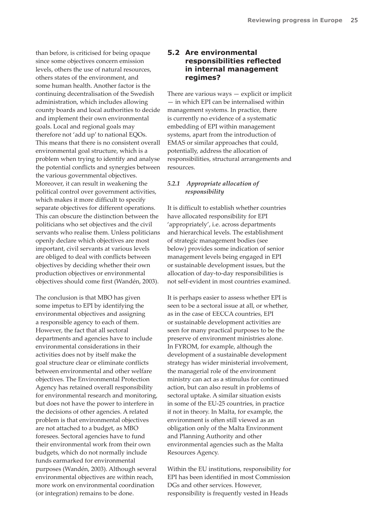than before, is criticised for being opaque since some objectives concern emission levels, others the use of natural resources, others states of the environment, and some human health. Another factor is the continuing decentralisation of the Swedish administration, which includes allowing county boards and local authorities to decide and implement their own environmental goals. Local and regional goals may therefore not 'add up' to national EQOs. This means that there is no consistent overall environmental goal structure, which is a problem when trying to identify and analyse the potential conflicts and synergies between the various governmental objectives. Moreover, it can result in weakening the political control over government activities, which makes it more difficult to specify separate objectives for different operations. This can obscure the distinction between the politicians who set objectives and the civil servants who realise them. Unless politicians openly declare which objectives are most important, civil servants at various levels are obliged to deal with conflicts between objectives by deciding whether their own production objectives or environmental objectives should come first (Wandén, 2003).

The conclusion is that MBO has given some impetus to EPI by identifying the environmental objectives and assigning a responsible agency to each of them. However, the fact that all sectoral departments and agencies have to include environmental considerations in their activities does not by itself make the goal structure clear or eliminate conflicts between environmental and other welfare objectives. The Environmental Protection Agency has retained overall responsibility for environmental research and monitoring, but does not have the power to interfere in the decisions of other agencies. A related problem is that environmental objectives are not attached to a budget, as MBO foresees. Sectoral agencies have to fund their environmental work from their own budgets, which do not normally include funds earmarked for environmental purposes (Wandén, 2003). Although several environmental objectives are within reach, more work on environmental coordination (or integration) remains to be done.

### **5.2 Are environmental responsibilities reflected in internal management regimes?**

There are various ways  $-$  explicit or implicit — in which EPI can be internalised within management systems. In practice, there is currently no evidence of a systematic embedding of EPI within management systems, apart from the introduction of EMAS or similar approaches that could, potentially, address the allocation of responsibilities, structural arrangements and resources.

#### *5.2.1 Appropriate allocation of responsibility*

It is difficult to establish whether countries have allocated responsibility for EPI 'appropriately', i.e. across departments and hierarchical levels. The establishment of strategic management bodies (see below) provides some indication of senior management levels being engaged in EPI or sustainable development issues, but the allocation of day-to-day responsibilities is not self-evident in most countries examined.

It is perhaps easier to assess whether EPI is seen to be a sectoral issue at all, or whether, as in the case of EECCA countries, EPI or sustainable development activities are seen for many practical purposes to be the preserve of environment ministries alone. In FYROM, for example, although the development of a sustainable development strategy has wider ministerial involvement, the managerial role of the environment ministry can act as a stimulus for continued action, but can also result in problems of sectoral uptake. A similar situation exists in some of the EU-25 countries, in practice if not in theory. In Malta, for example, the environment is often still viewed as an obligation only of the Malta Environment and Planning Authority and other environmental agencies such as the Malta Resources Agency.

Within the EU institutions, responsibility for EPI has been identified in most Commission DGs and other services. However, responsibility is frequently vested in Heads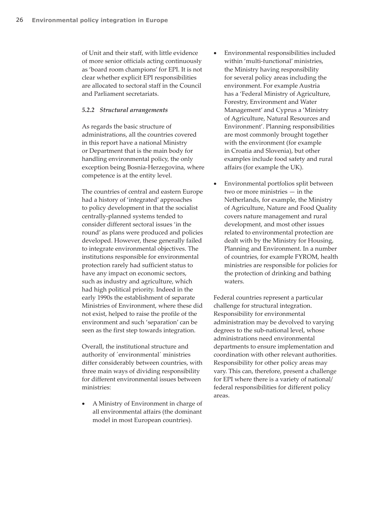of Unit and their staff, with little evidence of more senior officials acting continuously as 'board room champions' for EPI. It is not clear whether explicit EPI responsibilities are allocated to sectoral staff in the Council and Parliament secretariats.

#### *5.2.2 Structural arrangements*

As regards the basic structure of administrations, all the countries covered in this report have a national Ministry or Department that is the main body for handling environmental policy, the only exception being Bosnia-Herzegovina, where competence is at the entity level.

The countries of central and eastern Europe had a history of 'integrated' approaches to policy development in that the socialist centrally-planned systems tended to consider different sectoral issues 'in the round' as plans were produced and policies developed. However, these generally failed to integrate environmental objectives. The institutions responsible for environmental protection rarely had sufficient status to have any impact on economic sectors, such as industry and agriculture, which had high political priority. Indeed in the early 1990s the establishment of separate Ministries of Environment, where these did not exist, helped to raise the profile of the environment and such 'separation' can be seen as the first step towards integration.

Overall, the institutional structure and authority of ´environmental´ ministries differ considerably between countries, with three main ways of dividing responsibility for different environmental issues between ministries:

• A Ministry of Environment in charge of all environmental affairs (the dominant model in most European countries).

- Environmental responsibilities included within 'multi-functional' ministries, the Ministry having responsibility for several policy areas including the environment. For example Austria has a 'Federal Ministry of Agriculture, Forestry, Environment and Water Management' and Cyprus a 'Ministry of Agriculture, Natural Resources and Environment'. Planning responsibilities are most commonly brought together with the environment (for example in Croatia and Slovenia), but other examples include food safety and rural affairs (for example the UK).
- Environmental portfolios split between two or more ministries — in the Netherlands, for example, the Ministry of Agriculture, Nature and Food Quality covers nature management and rural development, and most other issues related to environmental protection are dealt with by the Ministry for Housing, Planning and Environment. In a number of countries, for example FYROM, health ministries are responsible for policies for the protection of drinking and bathing waters.

Federal countries represent a particular challenge for structural integration. Responsibility for environmental administration may be devolved to varying degrees to the sub-national level, whose administrations need environmental departments to ensure implementation and coordination with other relevant authorities. Responsibility for other policy areas may vary. This can, therefore, present a challenge for EPI where there is a variety of national/ federal responsibilities for different policy areas.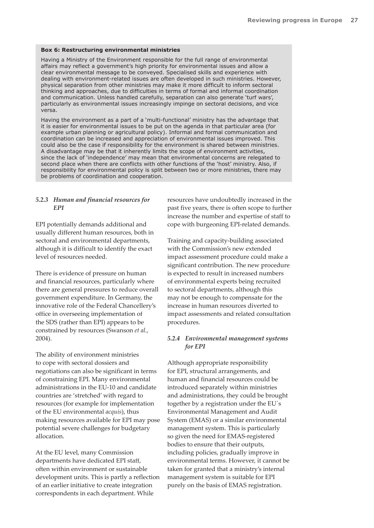#### **Box 6: Restructuring environmental ministries**

Having a Ministry of the Environment responsible for the full range of environmental affairs may reflect a government's high priority for environmental issues and allow a clear environmental message to be conveyed. Specialised skills and experience with dealing with environment-related issues are often developed in such ministries. However, physical separation from other ministries may make it more difficult to inform sectoral thinking and approaches, due to difficulties in terms of formal and informal coordination and communication. Unless handled carefully, separation can also generate 'turf wars', particularly as environmental issues increasingly impinge on sectoral decisions, and vice versa.

Having the environment as a part of a 'multi-functional' ministry has the advantage that it is easier for environmental issues to be put on the agenda in that particular area (for example urban planning or agricultural policy). Informal and formal communication and coordination can be increased and appreciation of environmental issues improved. This could also be the case if responsibility for the environment is shared between ministries. A disadvantage may be that it inherently limits the scope of environment activities, since the lack of 'independence' may mean that environmental concerns are relegated to second place when there are conflicts with other functions of the 'host' ministry. Also, if responsibility for environmental policy is split between two or more ministries, there may be problems of coordination and cooperation.

#### *5.2.3 Human and financial resources for EPI*

EPI potentially demands additional and usually different human resources, both in sectoral and environmental departments, although it is difficult to identify the exact level of resources needed.

There is evidence of pressure on human and financial resources, particularly where there are general pressures to reduce overall government expenditure. In Germany, the innovative role of the Federal Chancellery's office in overseeing implementation of the SDS (rather than EPI) appears to be constrained by resources (Swanson *et al.*, 2004).

The ability of environment ministries to cope with sectoral dossiers and negotiations can also be significant in terms of constraining EPI. Many environmental administrations in the EU-10 and candidate countries are 'stretched' with regard to resources (for example for implementation of the EU environmental *acquis*), thus making resources available for EPI may pose potential severe challenges for budgetary allocation.

At the EU level, many Commission departments have dedicated EPI staff, often within environment or sustainable development units. This is partly a reflection of an earlier initiative to create integration correspondents in each department. While

resources have undoubtedly increased in the past five years, there is often scope to further increase the number and expertise of staff to cope with burgeoning EPI-related demands.

Training and capacity-building associated with the Commission's new extended impact assessment procedure could make a significant contribution. The new procedure is expected to result in increased numbers of environmental experts being recruited to sectoral departments, although this may not be enough to compensate for the increase in human resources diverted to impact assessments and related consultation procedures.

#### *5.2.4 Environmental management systems for EPI*

Although appropriate responsibility for EPI, structural arrangements, and human and financial resources could be introduced separately within ministries and administrations, they could be brought together by a registration under the EU´s Environmental Management and Audit System (EMAS) or a similar environmental management system. This is particularly so given the need for EMAS-registered bodies to ensure that their outputs, including policies, gradually improve in environmental terms. However, it cannot be taken for granted that a ministry's internal management system is suitable for EPI purely on the basis of EMAS registration.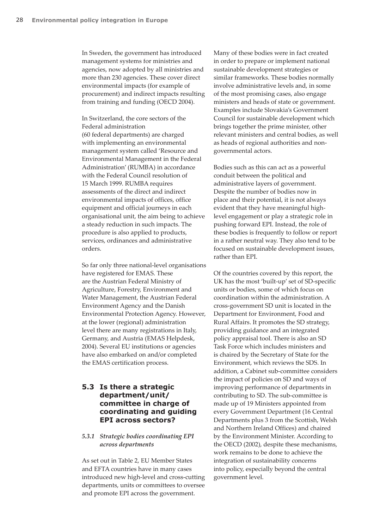In Sweden, the government has introduced management systems for ministries and agencies, now adopted by all ministries and more than 230 agencies. These cover direct environmental impacts (for example of procurement) and indirect impacts resulting from training and funding (OECD 2004).

In Switzerland, the core sectors of the Federal administration (60 federal departments) are charged with implementing an environmental management system called 'Resource and Environmental Management in the Federal Administration' (RUMBA) in accordance with the Federal Council resolution of 15 March 1999. RUMBA requires assessments of the direct and indirect environmental impacts of offices, office equipment and official journeys in each organisational unit, the aim being to achieve a steady reduction in such impacts. The procedure is also applied to products, services, ordinances and administrative orders.

So far only three national-level organisations have registered for EMAS. These are the Austrian Federal Ministry of Agriculture, Forestry, Environment and Water Management, the Austrian Federal Environment Agency and the Danish Environmental Protection Agency. However, at the lower (regional) administration level there are many registrations in Italy, Germany, and Austria (EMAS Helpdesk, 2004). Several EU institutions or agencies have also embarked on and/or completed the EMAS certification process.

## **5.3 Is there a strategic department/unit/ committee in charge of coordinating and guiding EPI across sectors?**

#### *5.3.1 Strategic bodies coordinating EPI across departments*

As set out in Table 2, EU Member States and EFTA countries have in many cases introduced new high-level and cross-cutting departments, units or committees to oversee and promote EPI across the government.

Many of these bodies were in fact created in order to prepare or implement national sustainable development strategies or similar frameworks. These bodies normally involve administrative levels and, in some of the most promising cases, also engage ministers and heads of state or government. Examples include Slovakia's Government Council for sustainable development which brings together the prime minister, other relevant ministers and central bodies, as well as heads of regional authorities and nongovernmental actors.

Bodies such as this can act as a powerful conduit between the political and administrative layers of government. Despite the number of bodies now in place and their potential, it is not always evident that they have meaningful highlevel engagement or play a strategic role in pushing forward EPI. Instead, the role of these bodies is frequently to follow or report in a rather neutral way. They also tend to be focused on sustainable development issues, rather than EPI.

Of the countries covered by this report, the UK has the most 'built-up' set of SD-specific units or bodies, some of which focus on coordination within the administration. A cross-government SD unit is located in the Department for Environment, Food and Rural Affairs. It promotes the SD strategy, providing guidance and an integrated policy appraisal tool. There is also an SD Task Force which includes ministers and is chaired by the Secretary of State for the Environment, which reviews the SDS. In addition, a Cabinet sub-committee considers the impact of policies on SD and ways of improving performance of departments in contributing to SD. The sub-committee is made up of 19 Ministers appointed from every Government Department (16 Central Departments plus 3 from the Scottish, Welsh and Northern Ireland Offices) and chaired by the Environment Minister. According to the OECD (2002), despite these mechanisms, work remains to be done to achieve the integration of sustainability concerns into policy, especially beyond the central government level.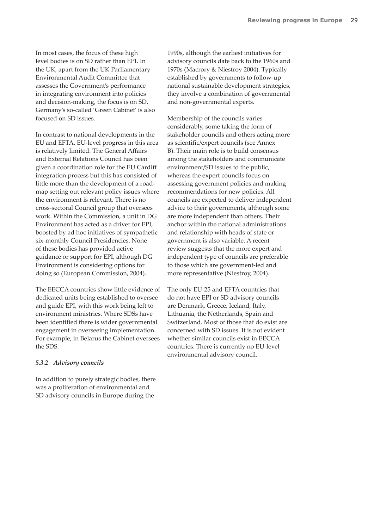In most cases, the focus of these high level bodies is on SD rather than EPI. In the UK, apart from the UK Parliamentary Environmental Audit Committee that assesses the Government's performance in integrating environment into policies and decision-making, the focus is on SD. Germany's so-called 'Green Cabinet' is also focused on SD issues.

In contrast to national developments in the EU and EFTA, EU-level progress in this area is relatively limited. The General Affairs and External Relations Council has been given a coordination role for the EU Cardiff integration process but this has consisted of little more than the development of a roadmap setting out relevant policy issues where the environment is relevant. There is no cross-sectoral Council group that oversees work. Within the Commission, a unit in DG Environment has acted as a driver for EPI, boosted by ad hoc initiatives of sympathetic six-monthly Council Presidencies. None of these bodies has provided active guidance or support for EPI, although DG Environment is considering options for doing so (European Commission, 2004).

The EECCA countries show little evidence of dedicated units being established to oversee and guide EPI, with this work being left to environment ministries. Where SDSs have been identified there is wider governmental engagement in overseeing implementation. For example, in Belarus the Cabinet oversees the SDS.

#### *5.3.2 Advisory councils*

In addition to purely strategic bodies, there was a proliferation of environmental and SD advisory councils in Europe during the

1990s, although the earliest initiatives for advisory councils date back to the 1960s and 1970s (Macrory & Niestroy 2004). Typically established by governments to follow-up national sustainable development strategies, they involve a combination of governmental and non-governmental experts.

Membership of the councils varies considerably, some taking the form of stakeholder councils and others acting more as scientific/expert councils (see Annex B). Their main role is to build consensus among the stakeholders and communicate environment/SD issues to the public, whereas the expert councils focus on assessing government policies and making recommendations for new policies. All councils are expected to deliver independent advice to their governments, although some are more independent than others. Their anchor within the national administrations and relationship with heads of state or government is also variable. A recent review suggests that the more expert and independent type of councils are preferable to those which are government-led and more representative (Niestroy, 2004).

The only EU-25 and EFTA countries that do not have EPI or SD advisory councils are Denmark, Greece, Iceland, Italy, Lithuania, the Netherlands, Spain and Switzerland. Most of those that do exist are concerned with SD issues. It is not evident whether similar councils exist in EECCA countries. There is currently no EU-level environmental advisory council.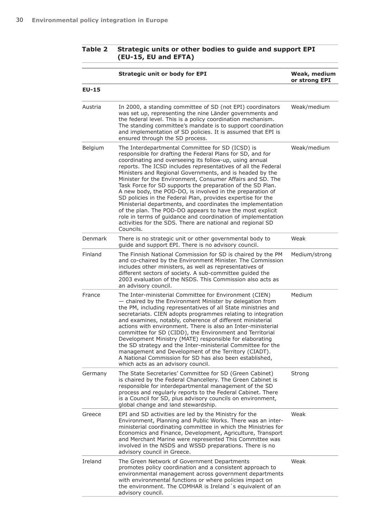## **Table 2 Strategic units or other bodies to guide and support EPI (EU-15, EU and EFTA)**

|         | <b>Strategic unit or body for EPI</b>                                                                                                                                                                                                                                                                                                                                                                                                                                                                                                                                                                                                                                                                                                                                                                                                 | Weak, medium<br>or strong EPI |
|---------|---------------------------------------------------------------------------------------------------------------------------------------------------------------------------------------------------------------------------------------------------------------------------------------------------------------------------------------------------------------------------------------------------------------------------------------------------------------------------------------------------------------------------------------------------------------------------------------------------------------------------------------------------------------------------------------------------------------------------------------------------------------------------------------------------------------------------------------|-------------------------------|
| $EU-15$ |                                                                                                                                                                                                                                                                                                                                                                                                                                                                                                                                                                                                                                                                                                                                                                                                                                       |                               |
| Austria | In 2000, a standing committee of SD (not EPI) coordinators<br>was set up, representing the nine Länder governments and<br>the federal level. This is a policy coordination mechanism.<br>The standing committee's mandate is to support coordination<br>and implementation of SD policies. It is assumed that EPI is<br>ensured through the SD process.                                                                                                                                                                                                                                                                                                                                                                                                                                                                               | Weak/medium                   |
| Belgium | The Interdepartmental Committee for SD (ICSD) is<br>responsible for drafting the Federal Plans for SD, and for<br>coordinating and overseeing its follow-up, using annual<br>reports. The ICSD includes representatives of all the Federal<br>Ministers and Regional Governments, and is headed by the<br>Minister for the Environment, Consumer Affairs and SD. The<br>Task Force for SD supports the preparation of the SD Plan.<br>A new body, the POD-DO, is involved in the preparation of<br>SD policies in the Federal Plan, provides expertise for the<br>Ministerial departments, and coordinates the implementation<br>of the plan. The POD-DO appears to have the most explicit<br>role in terms of guidance and coordination of implementation<br>activities for the SDS. There are national and regional SD<br>Councils. | Weak/medium                   |
| Denmark | There is no strategic unit or other governmental body to<br>quide and support EPI. There is no advisory council.                                                                                                                                                                                                                                                                                                                                                                                                                                                                                                                                                                                                                                                                                                                      | Weak                          |
| Finland | The Finnish National Commission for SD is chaired by the PM<br>and co-chaired by the Environment Minister. The Commission<br>includes other ministers, as well as representatives of<br>different sectors of society. A sub-committee guided the<br>2003 evaluation of the NSDS. This Commission also acts as<br>an advisory council.                                                                                                                                                                                                                                                                                                                                                                                                                                                                                                 | Medium/strong                 |
| France  | The Inter-ministerial Committee for Environment (CIEN)<br>- chaired by the Environment Minister by delegation from<br>the PM, including representatives of all State ministries and<br>secretariats. CIEN adopts programmes relating to integration<br>and examines, notably, coherence of different ministerial<br>actions with environment. There is also an Inter-ministerial<br>committee for SD (CIDD), the Environment and Territorial<br>Development Ministry (MATE) responsible for elaborating<br>the SD strategy and the Inter-ministerial Committee for the<br>management and Development of the Territory (CIADT).<br>A National Commission for SD has also been established,<br>which acts as an advisory council.                                                                                                       | Medium                        |
| Germany | The State Secretaries' Committee for SD (Green Cabinet)<br>is chaired by the Federal Chancellery. The Green Cabinet is<br>responsible for interdepartmental management of the SD<br>process and regularly reports to the Federal Cabinet. There<br>is a Council for SD, plus advisory councils on environment,<br>global change and land stewardship.                                                                                                                                                                                                                                                                                                                                                                                                                                                                                 | Strong                        |
| Greece  | EPI and SD activities are led by the Ministry for the<br>Environment, Planning and Public Works. There was an inter-<br>ministerial coordinating committee in which the Ministries for<br>Economics and Finance, Development, Agriculture, Transport<br>and Merchant Marine were represented This Committee was<br>involved in the NSDS and WSSD preparations. There is no<br>advisory council in Greece.                                                                                                                                                                                                                                                                                                                                                                                                                             | Weak                          |
| Ireland | The Green Network of Government Departments<br>promotes policy coordination and a consistent approach to<br>environmental management across government departments<br>with environmental functions or where policies impact on<br>the environment. The COMHAR is Ireland's equivalent of an<br>advisory council.                                                                                                                                                                                                                                                                                                                                                                                                                                                                                                                      | Weak                          |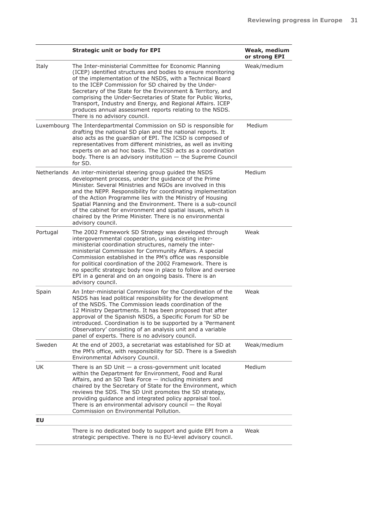|          | <b>Strategic unit or body for EPI</b>                                                                                                                                                                                                                                                                                                                                                                                                                                                                                              | Weak, medium<br>or strong EPI |
|----------|------------------------------------------------------------------------------------------------------------------------------------------------------------------------------------------------------------------------------------------------------------------------------------------------------------------------------------------------------------------------------------------------------------------------------------------------------------------------------------------------------------------------------------|-------------------------------|
| Italy    | The Inter-ministerial Committee for Economic Planning<br>(ICEP) identified structures and bodies to ensure monitoring<br>of the implementation of the NSDS, with a Technical Board<br>to the ICEP Commission for SD chaired by the Under-<br>Secretary of the State for the Environment & Territory, and<br>comprising the Under-Secretaries of State for Public Works,<br>Transport, Industry and Energy, and Regional Affairs. ICEP<br>produces annual assessment reports relating to the NSDS.<br>There is no advisory council. | Weak/medium                   |
|          | Luxembourg The Interdepartmental Commission on SD is responsible for<br>drafting the national SD plan and the national reports. It<br>also acts as the guardian of EPI. The ICSD is composed of<br>representatives from different ministries, as well as inviting<br>experts on an ad hoc basis. The ICSD acts as a coordination<br>body. There is an advisory institution - the Supreme Council<br>for SD.                                                                                                                        | Medium                        |
|          | Netherlands An inter-ministerial steering group guided the NSDS<br>development process, under the guidance of the Prime<br>Minister. Several Ministries and NGOs are involved in this<br>and the NEPP. Responsibility for coordinating implementation<br>of the Action Programme lies with the Ministry of Housing<br>Spatial Planning and the Environment. There is a sub-council<br>of the cabinet for environment and spatial issues, which is<br>chaired by the Prime Minister. There is no environmental<br>advisory council. | Medium                        |
| Portugal | The 2002 Framework SD Strategy was developed through<br>intergovernmental cooperation, using existing inter-<br>ministerial coordination structures, namely the inter-<br>ministerial Commission for Community Affairs. A special<br>Commission established in the PM's office was responsible<br>for political coordination of the 2002 Framework. There is<br>no specific strategic body now in place to follow and oversee<br>EPI in a general and on an ongoing basis. There is an<br>advisory council.                        | Weak                          |
| Spain    | An Inter-ministerial Commission for the Coordination of the<br>NSDS has lead political responsibility for the development<br>of the NSDS. The Commission leads coordination of the<br>12 Ministry Departments. It has been proposed that after<br>approval of the Spanish NSDS, a Specific Forum for SD be<br>introduced. Coordination is to be supported by a 'Permanent<br>Observatory' consisting of an analysis unit and a variable<br>panel of experts. There is no advisory council.                                         | Weak                          |
| Sweden   | At the end of 2003, a secretariat was established for SD at<br>the PM's office, with responsibility for SD. There is a Swedish<br>Environmental Advisory Council.                                                                                                                                                                                                                                                                                                                                                                  | Weak/medium                   |
| UK       | There is an SD Unit $-$ a cross-government unit located<br>within the Department for Environment, Food and Rural<br>Affairs, and an SD Task Force - including ministers and<br>chaired by the Secretary of State for the Environment, which<br>reviews the SDS. The SD Unit promotes the SD strategy,<br>providing guidance and integrated policy appraisal tool.<br>There is an environmental advisory council $-$ the Royal<br>Commission on Environmental Pollution.                                                            | Medium                        |
| EU       |                                                                                                                                                                                                                                                                                                                                                                                                                                                                                                                                    |                               |
|          | There is no dedicated body to support and guide EPI from a<br>strategic perspective. There is no EU-level advisory council.                                                                                                                                                                                                                                                                                                                                                                                                        | Weak                          |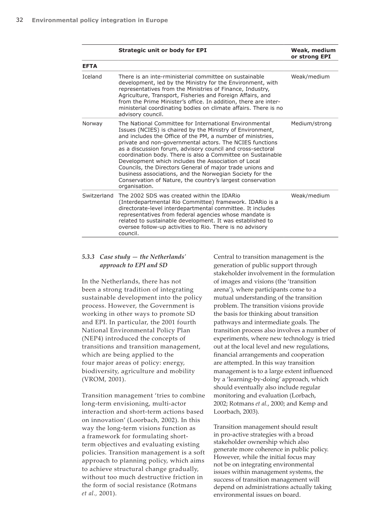|                | <b>Strategic unit or body for EPI</b>                                                                                                                                                                                                                                                                                                                                                                                                                                                                                                                                                                                                     | Weak, medium<br>or strong EPI |
|----------------|-------------------------------------------------------------------------------------------------------------------------------------------------------------------------------------------------------------------------------------------------------------------------------------------------------------------------------------------------------------------------------------------------------------------------------------------------------------------------------------------------------------------------------------------------------------------------------------------------------------------------------------------|-------------------------------|
| <b>EFTA</b>    |                                                                                                                                                                                                                                                                                                                                                                                                                                                                                                                                                                                                                                           |                               |
| <b>Iceland</b> | There is an inte-rministerial committee on sustainable<br>development, led by the Ministry for the Environment, with<br>representatives from the Ministries of Finance, Industry,<br>Agriculture, Transport, Fisheries and Foreign Affairs, and<br>from the Prime Minister's office. In addition, there are inter-<br>ministerial coordinating bodies on climate affairs. There is no<br>advisory council.                                                                                                                                                                                                                                | Weak/medium                   |
| Norway         | The National Committee for International Environmental<br>Issues (NCIES) is chaired by the Ministry of Environment,<br>and includes the Office of the PM, a number of ministries,<br>private and non-governmental actors. The NCIES functions<br>as a discussion forum, advisory council and cross-sectoral<br>coordination body. There is also a Committee on Sustainable<br>Development which includes the Association of Local<br>Councils, the Directors General of major trade unions and<br>business associations, and the Norwegian Society for the<br>Conservation of Nature, the country's largest conservation<br>organisation. | Medium/strong                 |
| Switzerland    | The 2002 SDS was created within the IDARio<br>(Interdepartmental Rio Committee) framework. IDARio is a<br>directorate-level interdepartmental committee. It includes<br>representatives from federal agencies whose mandate is<br>related to sustainable development. It was established to<br>oversee follow-up activities to Rio. There is no advisory<br>council.                                                                                                                                                                                                                                                                      | Weak/medium                   |

#### *5.3.3 Case study — the Netherlands' approach to EPI and SD*

In the Netherlands, there has not been a strong tradition of integrating sustainable development into the policy process. However, the Government is working in other ways to promote SD and EPI. In particular, the 2001 fourth National Environmental Policy Plan (NEP4) introduced the concepts of transitions and transition management, which are being applied to the four major areas of policy: energy, biodiversity, agriculture and mobility (VROM, 2001).

Transition management 'tries to combine long-term envisioning, multi-actor interaction and short-term actions based on innovation' (Loorbach, 2002). In this way the long-term visions function as a framework for formulating shortterm objectives and evaluating existing policies. Transition management is a soft approach to planning policy, which aims to achieve structural change gradually, without too much destructive friction in the form of social resistance (Rotmans *et al.,* 2001).

Central to transition management is the generation of public support through stakeholder involvement in the formulation of images and visions (the 'transition arena'), where participants come to a mutual understanding of the transition problem. The transition visions provide the basis for thinking about transition pathways and intermediate goals. The transition process also involves a number of experiments, where new technology is tried out at the local level and new regulations, financial arrangements and cooperation are attempted. In this way transition management is to a large extent influenced by a 'learning-by-doing' approach, which should eventually also include regular monitoring and evaluation (Lorbach, 2002; Rotmans *et al.*, 2000; and Kemp and Loorbach, 2003).

Transition management should result in pro-active strategies with a broad stakeholder ownership which also generate more coherence in public policy. However, while the initial focus may not be on integrating environmental issues within management systems, the success of transition management will depend on administrations actually taking environmental issues on board.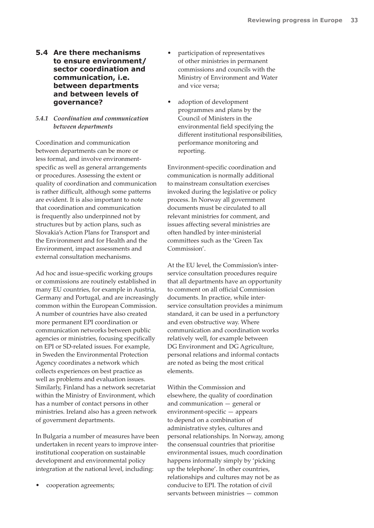## **5.4 Are there mechanisms to ensure environment/ sector coordination and communication, i.e. between departments and between levels of governance?**

### *5.4.1 Coordination and communication between departments*

Coordination and communication between departments can be more or less formal, and involve environmentspecific as well as general arrangements or procedures. Assessing the extent or quality of coordination and communication is rather difficult, although some patterns are evident. It is also important to note that coordination and communication is frequently also underpinned not by structures but by action plans, such as Slovakia's Action Plans for Transport and the Environment and for Health and the Environment, impact assessments and external consultation mechanisms.

Ad hoc and issue-specific working groups or commissions are routinely established in many EU countries, for example in Austria, Germany and Portugal, and are increasingly common within the European Commission. A number of countries have also created more permanent EPI coordination or communication networks between public agencies or ministries, focusing specifically on EPI or SD-related issues. For example, in Sweden the Environmental Protection Agency coordinates a network which collects experiences on best practice as well as problems and evaluation issues. Similarly, Finland has a network secretariat within the Ministry of Environment, which has a number of contact persons in other ministries. Ireland also has a green network of government departments.

In Bulgaria a number of measures have been undertaken in recent years to improve interinstitutional cooperation on sustainable development and environmental policy integration at the national level, including:

• cooperation agreements;

- participation of representatives of other ministries in permanent commissions and councils with the Ministry of Environment and Water and vice versa;
- adoption of development programmes and plans by the Council of Ministers in the environmental field specifying the different institutional responsibilities, performance monitoring and reporting.

Environment-specific coordination and communication is normally additional to mainstream consultation exercises invoked during the legislative or policy process. In Norway all government documents must be circulated to all relevant ministries for comment, and issues affecting several ministries are often handled by inter-ministerial committees such as the 'Green Tax Commission'.

At the EU level, the Commission's interservice consultation procedures require that all departments have an opportunity to comment on all official Commission documents. In practice, while interservice consultation provides a minimum standard, it can be used in a perfunctory and even obstructive way. Where communication and coordination works relatively well, for example between DG Environment and DG Agriculture, personal relations and informal contacts are noted as being the most critical elements.

Within the Commission and elsewhere, the quality of coordination and communication — general or environment-specific — appears to depend on a combination of administrative styles, cultures and personal relationships. In Norway, among the consensual countries that prioritise environmental issues, much coordination happens informally simply by 'picking up the telephone'. In other countries, relationships and cultures may not be as conducive to EPI. The rotation of civil servants between ministries — common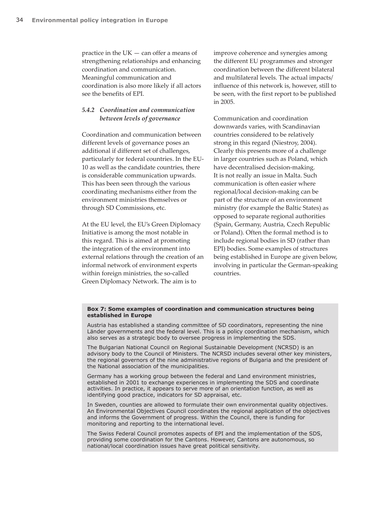practice in the  $UK - can$  offer a means of strengthening relationships and enhancing coordination and communication. Meaningful communication and coordination is also more likely if all actors see the benefits of EPI.

#### *5.4.2 Coordination and communication between levels of governance*

Coordination and communication between different levels of governance poses an additional if different set of challenges, particularly for federal countries. In the EU-10 as well as the candidate countries, there is considerable communication upwards. This has been seen through the various coordinating mechanisms either from the environment ministries themselves or through SD Commissions, etc.

At the EU level, the EU's Green Diplomacy Initiative is among the most notable in this regard. This is aimed at promoting the integration of the environment into external relations through the creation of an informal network of environment experts within foreign ministries, the so-called Green Diplomacy Network. The aim is to

improve coherence and synergies among the different EU programmes and stronger coordination between the different bilateral and multilateral levels. The actual impacts/ influence of this network is, however, still to be seen, with the first report to be published in 2005.

Communication and coordination downwards varies, with Scandinavian countries considered to be relatively strong in this regard (Niestroy, 2004). Clearly this presents more of a challenge in larger countries such as Poland, which have decentralised decision-making. It is not really an issue in Malta. Such communication is often easier where regional/local decision-making can be part of the structure of an environment ministry (for example the Baltic States) as opposed to separate regional authorities (Spain, Germany, Austria, Czech Republic or Poland). Often the formal method is to include regional bodies in SD (rather than EPI) bodies. Some examples of structures being established in Europe are given below, involving in particular the German-speaking countries.

#### **Box 7: Some examples of coordination and communication structures being established in Europe**

Austria has established a standing committee of SD coordinators, representing the nine Länder governments and the federal level. This is a policy coordination mechanism, which also serves as a strategic body to oversee progress in implementing the SDS.

The Bulgarian National Council on Regional Sustainable Development (NCRSD) is an advisory body to the Council of Ministers. The NCRSD includes several other key ministers, the regional governors of the nine administrative regions of Bulgaria and the president of the National association of the municipalities.

Germany has a working group between the federal and Land environment ministries, established in 2001 to exchange experiences in implementing the SDS and coordinate activities. In practice, it appears to serve more of an orientation function, as well as identifying good practice, indicators for SD appraisal, etc.

In Sweden, counties are allowed to formulate their own environmental quality objectives. An Environmental Objectives Council coordinates the regional application of the objectives and informs the Government of progress. Within the Council, there is funding for monitoring and reporting to the international level.

The Swiss Federal Council promotes aspects of EPI and the implementation of the SDS, providing some coordination for the Cantons. However, Cantons are autonomous, so national/local coordination issues have great political sensitivity.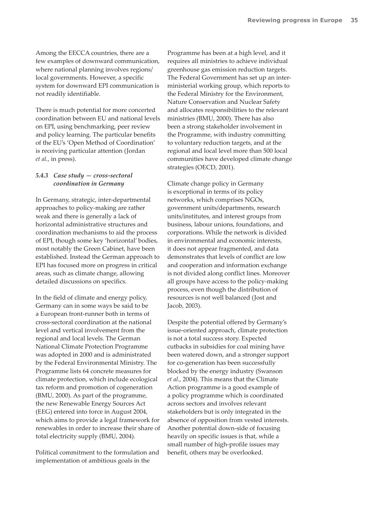Among the EECCA countries, there are a few examples of downward communication, where national planning involves regions/ local governments. However, a specific system for downward EPI communication is not readily identifiable.

There is much potential for more concerted coordination between EU and national levels on EPI, using benchmarking, peer review and policy learning. The particular benefits of the EU's 'Open Method of Coordination' is receiving particular attention (Jordan *et al.*, in press).

#### *5.4.3 Case study — cross-sectoral coordination in Germany*

In Germany, strategic, inter-departmental approaches to policy-making are rather weak and there is generally a lack of horizontal administrative structures and coordination mechanisms to aid the process of EPI, though some key 'horizontal' bodies, most notably the Green Cabinet, have been established. Instead the German approach to EPI has focused more on progress in critical areas, such as climate change, allowing detailed discussions on specifics.

In the field of climate and energy policy, Germany can in some ways be said to be a European front-runner both in terms of cross-sectoral coordination at the national level and vertical involvement from the regional and local levels. The German National Climate Protection Programme was adopted in 2000 and is administrated by the Federal Environmental Ministry. The Programme lists 64 concrete measures for climate protection, which include ecological tax reform and promotion of cogeneration (BMU, 2000). As part of the programme, the new Renewable Energy Sources Act (EEG) entered into force in August 2004, which aims to provide a legal framework for renewables in order to increase their share of total electricity supply (BMU, 2004).

Political commitment to the formulation and implementation of ambitious goals in the

Programme has been at a high level, and it requires all ministries to achieve individual greenhouse gas emission reduction targets. The Federal Government has set up an interministerial working group, which reports to the Federal Ministry for the Environment, Nature Conservation and Nuclear Safety and allocates responsibilities to the relevant ministries (BMU, 2000). There has also been a strong stakeholder involvement in the Programme, with industry committing to voluntary reduction targets, and at the regional and local level more than 500 local communities have developed climate change strategies (OECD, 2001).

Climate change policy in Germany is exceptional in terms of its policy networks, which comprises NGOs, government units/departments, research units/institutes, and interest groups from business, labour unions, foundations, and corporations. While the network is divided in environmental and economic interests, it does not appear fragmented, and data demonstrates that levels of conflict are low and cooperation and information exchange is not divided along conflict lines. Moreover all groups have access to the policy-making process, even though the distribution of resources is not well balanced (Jost and Jacob, 2003).

Despite the potential offered by Germany's issue-oriented approach, climate protection is not a total success story. Expected cutbacks in subsidies for coal mining have been watered down, and a stronger support for co-generation has been successfully blocked by the energy industry (Swanson *et al*., 2004). This means that the Climate Action programme is a good example of a policy programme which is coordinated across sectors and involves relevant stakeholders but is only integrated in the absence of opposition from vested interests. Another potential down-side of focusing heavily on specific issues is that, while a small number of high-profile issues may benefit, others may be overlooked.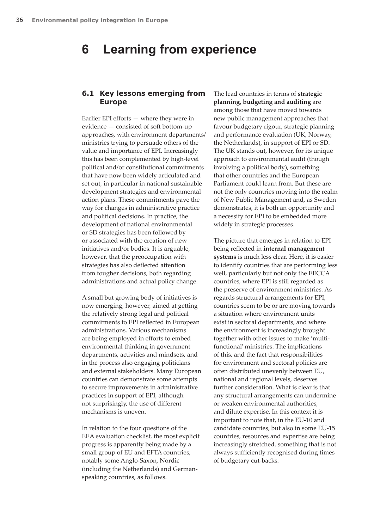## **6 Learning from experience**

### **6.1 Key lessons emerging from Europe**

Earlier EPI efforts — where they were in evidence — consisted of soft bottom-up approaches, with environment departments/ ministries trying to persuade others of the value and importance of EPI. Increasingly this has been complemented by high-level political and/or constitutional commitments that have now been widely articulated and set out, in particular in national sustainable development strategies and environmental action plans. These commitments pave the way for changes in administrative practice and political decisions. In practice, the development of national environmental or SD strategies has been followed by or associated with the creation of new initiatives and/or bodies. It is arguable, however, that the preoccupation with strategies has also deflected attention from tougher decisions, both regarding administrations and actual policy change.

A small but growing body of initiatives is now emerging, however, aimed at getting the relatively strong legal and political commitments to EPI reflected in European administrations. Various mechanisms are being employed in efforts to embed environmental thinking in government departments, activities and mindsets, and in the process also engaging politicians and external stakeholders. Many European countries can demonstrate some attempts to secure improvements in administrative practices in support of EPI, although not surprisingly, the use of different mechanisms is uneven.

In relation to the four questions of the EEA evaluation checklist, the most explicit progress is apparently being made by a small group of EU and EFTA countries, notably some Anglo-Saxon, Nordic (including the Netherlands) and Germanspeaking countries, as follows.

The lead countries in terms of **strategic planning, budgeting and auditing** are among those that have moved towards new public management approaches that favour budgetary rigour, strategic planning and performance evaluation (UK, Norway, the Netherlands), in support of EPI or SD. The UK stands out, however, for its unique approach to environmental audit (though involving a political body), something that other countries and the European Parliament could learn from. But these are not the only countries moving into the realm of New Public Management and, as Sweden demonstrates, it is both an opportunity and a necessity for EPI to be embedded more widely in strategic processes.

The picture that emerges in relation to EPI being reflected in **internal management systems** is much less clear. Here, it is easier to identify countries that are performing less well, particularly but not only the EECCA countries, where EPI is still regarded as the preserve of environment ministries. As regards structural arrangements for EPI, countries seem to be or are moving towards a situation where environment units exist in sectoral departments, and where the environment is increasingly brought together with other issues to make 'multifunctional' ministries. The implications of this, and the fact that responsibilities for environment and sectoral policies are often distributed unevenly between EU, national and regional levels, deserves further consideration. What is clear is that any structural arrangements can undermine or weaken environmental authorities, and dilute expertise. In this context it is important to note that, in the EU-10 and candidate countries, but also in some EU-15 countries, resources and expertise are being increasingly stretched, something that is not always sufficiently recognised during times of budgetary cut-backs.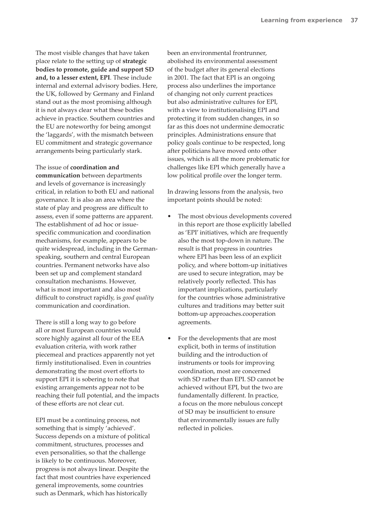The most visible changes that have taken place relate to the setting up of **strategic bodies to promote, guide and support SD and, to a lesser extent, EPI**. These include internal and external advisory bodies. Here, the UK, followed by Germany and Finland stand out as the most promising although it is not always clear what these bodies achieve in practice. Southern countries and the EU are noteworthy for being amongst the 'laggards', with the mismatch between EU commitment and strategic governance arrangements being particularly stark.

#### The issue of **coordination and**

**communication** between departments and levels of governance is increasingly critical, in relation to both EU and national governance. It is also an area where the state of play and progress are difficult to assess, even if some patterns are apparent. The establishment of ad hoc or issuespecific communication and coordination mechanisms, for example, appears to be quite widespread, including in the Germanspeaking, southern and central European countries. Permanent networks have also been set up and complement standard consultation mechanisms. However, what is most important and also most difficult to construct rapidly, is *good quality* communication and coordination.

There is still a long way to go before all or most European countries would score highly against all four of the EEA evaluation criteria, with work rather piecemeal and practices apparently not yet firmly institutionalised. Even in countries demonstrating the most overt efforts to support EPI it is sobering to note that existing arrangements appear not to be reaching their full potential, and the impacts of these efforts are not clear cut.

EPI must be a continuing process, not something that is simply 'achieved'. Success depends on a mixture of political commitment, structures, processes and even personalities, so that the challenge is likely to be continuous. Moreover, progress is not always linear. Despite the fact that most countries have experienced general improvements, some countries such as Denmark, which has historically

been an environmental frontrunner, abolished its environmental assessment of the budget after its general elections in 2001. The fact that EPI is an ongoing process also underlines the importance of changing not only current practices but also administrative cultures for EPI, with a view to institutionalising EPI and protecting it from sudden changes, in so far as this does not undermine democratic principles. Administrations ensure that policy goals continue to be respected, long after politicians have moved onto other issues, which is all the more problematic for challenges like EPI which generally have a low political profile over the longer term.

In drawing lessons from the analysis, two important points should be noted:

- The most obvious developments covered in this report are those explicitly labelled as 'EPI' initiatives, which are frequently also the most top-down in nature. The result is that progress in countries where EPI has been less of an explicit policy, and where bottom-up initiatives are used to secure integration, may be relatively poorly reflected. This has important implications, particularly for the countries whose administrative cultures and traditions may better suit bottom-up approaches.cooperation agreements.
- For the developments that are most explicit, both in terms of institution building and the introduction of instruments or tools for improving coordination, most are concerned with SD rather than EPI. SD cannot be achieved without EPI, but the two are fundamentally different. In practice, a focus on the more nebulous concept of SD may be insufficient to ensure that environmentally issues are fully reflected in policies.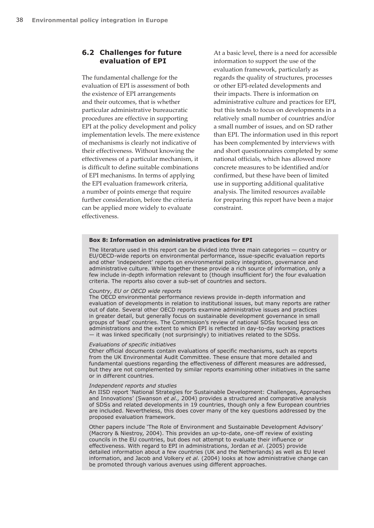## **6.2 Challenges for future evaluation of EPI**

The fundamental challenge for the evaluation of EPI is assessment of both the existence of EPI arrangements and their outcomes, that is whether particular administrative bureaucratic procedures are effective in supporting EPI at the policy development and policy implementation levels. The mere existence of mechanisms is clearly not indicative of their effectiveness. Without knowing the effectiveness of a particular mechanism, it is difficult to define suitable combinations of EPI mechanisms. In terms of applying the EPI evaluation framework criteria, a number of points emerge that require further consideration, before the criteria can be applied more widely to evaluate effectiveness.

At a basic level, there is a need for accessible information to support the use of the evaluation framework, particularly as regards the quality of structures, processes or other EPI-related developments and their impacts. There is information on administrative culture and practices for EPI, but this tends to focus on developments in a relatively small number of countries and/or a small number of issues, and on SD rather than EPI. The information used in this report has been complemented by interviews with and short questionnaires completed by some national officials, which has allowed more concrete measures to be identified and/or confirmed, but these have been of limited use in supporting additional qualitative analysis. The limited resources available for preparing this report have been a major constraint.

#### **Box 8: Information on administrative practices for EPI**

The literature used in this report can be divided into three main categories — country or EU/OECD-wide reports on environmental performance, issue-specific evaluation reports and other 'independent' reports on environmental policy integration, governance and administrative culture. While together these provide a rich source of information, only a few include in-depth information relevant to (though insufficient for) the four evaluation criteria. The reports also cover a sub-set of countries and sectors.

#### *Country, EU or OECD wide reports*

The OECD environmental performance reviews provide in-depth information and evaluation of developments in relation to institutional issues, but many reports are rather out of date. Several other OECD reports examine administrative issues and practices in greater detail, but generally focus on sustainable development governance in small groups of 'lead' countries. The Commission's review of national SDSs focused less on administrations and the extent to which EPI is reflected in day-to-day working practices — it was linked specifically (not surprisingly) to initiatives related to the SDSs.

#### *Evaluations of specific initiatives*

Other official documents contain evaluations of specific mechanisms, such as reports from the UK Environmental Audit Committee. These ensure that more detailed and fundamental questions regarding the effectiveness of different measures are addressed, but they are not complemented by similar reports examining other initiatives in the same or in different countries.

#### *Independent reports and studies*

An IISD report 'National Strategies for Sustainable Development: Challenges, Approaches and Innovations' (Swanson *et al.,* 2004) provides a structured and comparative analysis of SDSs and related developments in 19 countries, though only a few European countries are included. Nevertheless, this does cover many of the key questions addressed by the proposed evaluation framework.

Other papers include 'The Role of Environment and Sustainable Development Advisory' (Macrory & Niestroy, 2004). This provides an up-to-date, one-off review of existing councils in the EU countries, but does not attempt to evaluate their influence or effectiveness. With regard to EPI in administrations, Jordan *et al*. (2005) provide detailed information about a few countries (UK and the Netherlands) as well as EU level information, and Jacob and Volkery *et al.* (2004) looks at how administrative change can be promoted through various avenues using different approaches.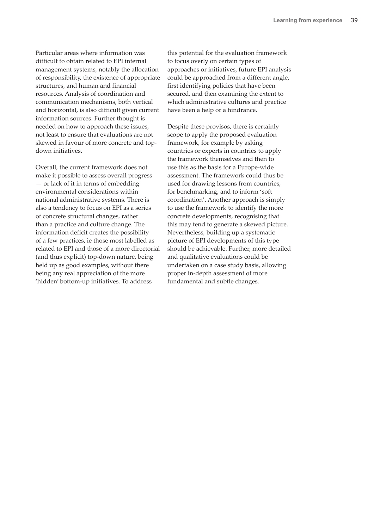Particular areas where information was difficult to obtain related to EPI internal management systems, notably the allocation of responsibility, the existence of appropriate structures, and human and financial resources. Analysis of coordination and communication mechanisms, both vertical and horizontal, is also difficult given current information sources. Further thought is needed on how to approach these issues, not least to ensure that evaluations are not skewed in favour of more concrete and topdown initiatives.

Overall, the current framework does not make it possible to assess overall progress — or lack of it in terms of embedding environmental considerations within national administrative systems. There is also a tendency to focus on EPI as a series of concrete structural changes, rather than a practice and culture change. The information deficit creates the possibility of a few practices, ie those most labelled as related to EPI and those of a more directorial (and thus explicit) top-down nature, being held up as good examples, without there being any real appreciation of the more 'hidden' bottom-up initiatives. To address

this potential for the evaluation framework to focus overly on certain types of approaches or initiatives, future EPI analysis could be approached from a different angle, first identifying policies that have been secured, and then examining the extent to which administrative cultures and practice have been a help or a hindrance.

Despite these provisos, there is certainly scope to apply the proposed evaluation framework, for example by asking countries or experts in countries to apply the framework themselves and then to use this as the basis for a Europe-wide assessment. The framework could thus be used for drawing lessons from countries, for benchmarking, and to inform 'soft coordination'. Another approach is simply to use the framework to identify the more concrete developments, recognising that this may tend to generate a skewed picture. Nevertheless, building up a systematic picture of EPI developments of this type should be achievable. Further, more detailed and qualitative evaluations could be undertaken on a case study basis, allowing proper in-depth assessment of more fundamental and subtle changes.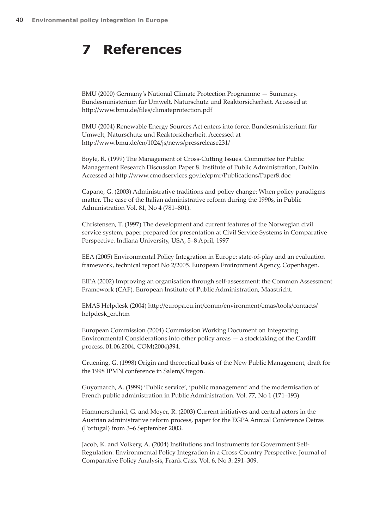## **7 References**

BMU (2000) Germany's National Climate Protection Programme — Summary. Bundesministerium für Umwelt, Naturschutz und Reaktorsicherheit. Accessed at http://www.bmu.de/files/climateprotection.pdf

BMU (2004) Renewable Energy Sources Act enters into force. Bundesministerium für Umwelt, Naturschutz und Reaktorsicherheit. Accessed at http://www.bmu.de/en/1024/js/news/pressrelease231/

Boyle, R. (1999) The Management of Cross-Cutting Issues. Committee for Public Management Research Discussion Paper 8. Institute of Public Administration, Dublin. Accessed at http://www.cmodservices.gov.ie/cpmr/Publications/Paper8.doc

Capano, G. (2003) Administrative traditions and policy change: When policy paradigms matter. The case of the Italian administrative reform during the 1990s, in Public Administration Vol. 81, No 4 (781–801).

Christensen, T. (1997) The development and current features of the Norwegian civil service system, paper prepared for presentation at Civil Service Systems in Comparative Perspective. Indiana University, USA, 5–8 April, 1997

EEA (2005) Environmental Policy Integration in Europe: state-of-play and an evaluation framework, technical report No 2/2005. European Environment Agency, Copenhagen.

EIPA (2002) Improving an organisation through self-assessment: the Common Assessment Framework (CAF). European Institute of Public Administration, Maastricht.

EMAS Helpdesk (2004) http://europa.eu.int/comm/environment/emas/tools/contacts/ helpdesk\_en.htm

European Commission (2004) Commission Working Document on Integrating Environmental Considerations into other policy areas — a stocktaking of the Cardiff process. 01.06.2004, COM(2004)394.

Gruening, G. (1998) Origin and theoretical basis of the New Public Management, draft for the 1998 IPMN conference in Salem/Oregon.

Guyomarch, A. (1999) 'Public service', 'public management' and the modernisation of French public administration in Public Administration. Vol. 77, No 1 (171–193).

Hammerschmid, G. and Meyer, R. (2003) Current initiatives and central actors in the Austrian administrative reform process, paper for the EGPA Annual Conference Oeiras (Portugal) from 3–6 September 2003.

Jacob, K. and Volkery, A. (2004) Institutions and Instruments for Government Self-Regulation: Environmental Policy Integration in a Cross-Country Perspective. Journal of Comparative Policy Analysis, Frank Cass, Vol. 6, No 3: 291–309.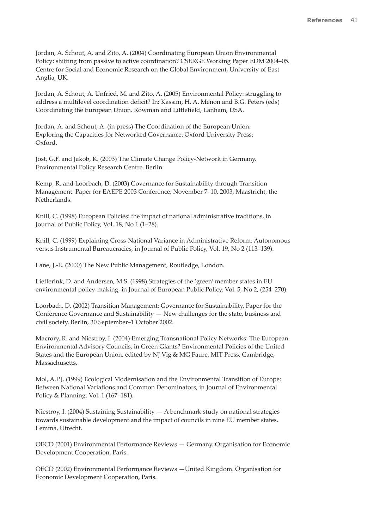Jordan, A. Schout, A. and Zito, A. (2004) Coordinating European Union Environmental Policy: shifting from passive to active coordination? CSERGE Working Paper EDM 2004–05. Centre for Social and Economic Research on the Global Environment, University of East Anglia, UK.

Jordan, A. Schout, A. Unfried, M. and Zito, A. (2005) Environmental Policy: struggling to address a multilevel coordination deficit? In: Kassim, H. A. Menon and B.G. Peters (eds) Coordinating the European Union. Rowman and Littlefield, Lanham, USA.

Jordan, A. and Schout, A. (in press) The Coordination of the European Union: Exploring the Capacities for Networked Governance. Oxford University Press: Oxford.

Jost, G.F. and Jakob, K. (2003) The Climate Change Policy-Network in Germany. Environmental Policy Research Centre. Berlin.

Kemp, R. and Loorbach, D. (2003) Governance for Sustainability through Transition Management. Paper for EAEPE 2003 Conference, November 7–10, 2003, Maastricht, the Netherlands.

Knill, C. (1998) European Policies: the impact of national administrative traditions, in Journal of Public Policy, Vol. 18, No 1 (1–28).

Knill, C. (1999) Explaining Cross-National Variance in Administrative Reform: Autonomous versus Instrumental Bureaucracies, in Journal of Public Policy, Vol. 19, No 2 (113–139).

Lane, J.-E. (2000) The New Public Management, Routledge, London.

Liefferink, D. and Andersen, M.S. (1998) Strategies of the 'green' member states in EU environmental policy-making, in Journal of European Public Policy, Vol. 5, No 2, (254–270).

Loorbach, D. (2002) Transition Management: Governance for Sustainability. Paper for the Conference Governance and Sustainability — New challenges for the state, business and civil society. Berlin, 30 September–1 October 2002.

Macrory, R. and Niestroy, I. (2004) Emerging Transnational Policy Networks: The European Environmental Advisory Councils, in Green Giants? Environmental Policies of the United States and the European Union, edited by NJ Vig & MG Faure, MIT Press, Cambridge, Massachusetts.

Mol, A.P.J. (1999) Ecological Modernisation and the Environmental Transition of Europe: Between National Variations and Common Denominators, in Journal of Environmental Policy & Planning. Vol. 1 (167–181).

Niestroy, I. (2004) Sustaining Sustainability — A benchmark study on national strategies towards sustainable development and the impact of councils in nine EU member states. Lemma, Utrecht.

OECD (2001) Environmental Performance Reviews — Germany. Organisation for Economic Development Cooperation, Paris.

OECD (2002) Environmental Performance Reviews —United Kingdom. Organisation for Economic Development Cooperation, Paris.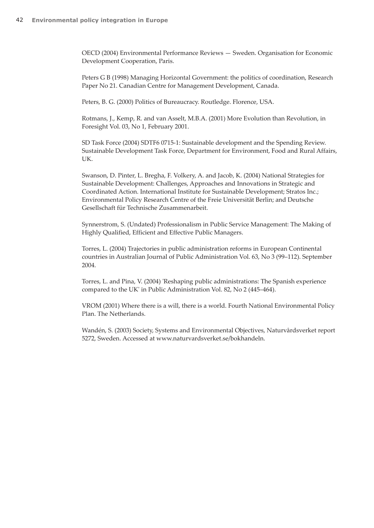OECD (2004) Environmental Performance Reviews — Sweden. Organisation for Economic Development Cooperation, Paris.

Peters G B (1998) Managing Horizontal Government: the politics of coordination, Research Paper No 21. Canadian Centre for Management Development, Canada.

Peters, B. G. (2000) Politics of Bureaucracy. Routledge. Florence, USA.

Rotmans, J., Kemp, R. and van Asselt, M.B.A. (2001) More Evolution than Revolution, in Foresight Vol. 03, No 1, February 2001.

SD Task Force (2004) SDTF6 0715-1: Sustainable development and the Spending Review. Sustainable Development Task Force, Department for Environment, Food and Rural Affairs, UK.

Swanson, D. Pinter, L. Bregha, F. Volkery, A. and Jacob, K. (2004) National Strategies for Sustainable Development: Challenges, Approaches and Innovations in Strategic and Coordinated Action. International Institute for Sustainable Development; Stratos Inc.; Environmental Policy Research Centre of the Freie Universität Berlin; and Deutsche Gesellschaft für Technische Zusammenarbeit.

Synnerstrom, S. (Undated) Professionalism in Public Service Management: The Making of Highly Qualified, Efficient and Effective Public Managers.

Torres, L. (2004) Trajectories in public administration reforms in European Continental countries in Australian Journal of Public Administration Vol. 63, No 3 (99–112). September 2004.

Torres, L. and Pina, V. (2004) 'Reshaping public administrations: The Spanish experience compared to the UK' in Public Administration Vol. 82, No 2 (445–464).

VROM (2001) Where there is a will, there is a world. Fourth National Environmental Policy Plan. The Netherlands.

Wandén, S. (2003) Society, Systems and Environmental Objectives, Naturvårdsverket report 5272, Sweden. Accessed at www.naturvardsverket.se/bokhandeln.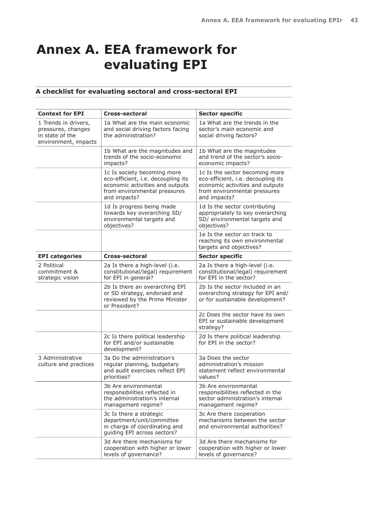# **Annex A. EEA framework for evaluating EPI**

### **A checklist for evaluating sectoral and cross-sectoral EPI**

| <b>Context for EPI</b>                                                                | Cross-sectoral                                                                                                                                       | <b>Sector specific</b>                                                                                                                                  |
|---------------------------------------------------------------------------------------|------------------------------------------------------------------------------------------------------------------------------------------------------|---------------------------------------------------------------------------------------------------------------------------------------------------------|
| 1 Trends in drivers,<br>pressures, changes<br>in state of the<br>environment, impacts | 1a What are the main economic<br>and social driving factors facing<br>the administration?                                                            | 1a What are the trends in the<br>sector's main economic and<br>social driving factors?                                                                  |
|                                                                                       | 1b What are the magnitudes and<br>trends of the socio-economic<br>impacts?                                                                           | 1b What are the magnitudes<br>and trend of the sector's socio-<br>economic impacts?                                                                     |
|                                                                                       | 1c Is society becoming more<br>eco-efficient, i.e. decoupling its<br>economic activities and outputs<br>from environmental pressures<br>and impacts? | 1c Is the sector becoming more<br>eco-efficient, i.e. decoupling its<br>economic activities and outputs<br>from environmental pressures<br>and impacts? |
|                                                                                       | 1d Is progress being made<br>towards key overarching SD/<br>environmental targets and<br>objectives?                                                 | 1d Is the sector contributing<br>appropriately to key overarching<br>SD/ environmental targets and<br>objectives?                                       |
|                                                                                       |                                                                                                                                                      | 1e Is the sector on track to<br>reaching its own environmental<br>targets and objectives?                                                               |
| <b>EPI</b> categories                                                                 | Cross-sectoral                                                                                                                                       | <b>Sector specific</b>                                                                                                                                  |
| 2 Political<br>commitment &<br>strategic vision                                       | 2a Is there a high-level (i.e.<br>constitutional/legal) requirement<br>for EPI in general?                                                           | 2a Is there a high-level (i.e.<br>constitutional/legal) requirement<br>for EPI in the sector?                                                           |
|                                                                                       | 2b Is there an overarching EPI<br>or SD strategy, endorsed and<br>reviewed by the Prime Minister<br>or President?                                    | 2b Is the sector included in an<br>overarching strategy for EPI and/<br>or for sustainable development?                                                 |
|                                                                                       |                                                                                                                                                      | 2c Does the sector have its own<br>EPI or sustainable development<br>strategy?                                                                          |
|                                                                                       | 2c Is there political leadership<br>for EPI and/or sustainable<br>development?                                                                       | 2d Is there political leadership<br>for EPI in the sector?                                                                                              |
| 3 Administrative<br>culture and practices                                             | 3a Do the administration's<br>regular planning, budgetary<br>and audit exercises reflect EPI<br>priorities?                                          | 3a Does the sector<br>administration's mission<br>statement reflect environmental<br>values?                                                            |
|                                                                                       | 3b Are environmental<br>responsibilities reflected in<br>the administration's internal<br>management regime?                                         | 3b Are environmental<br>responsibilities reflected in the<br>sector administration's internal<br>management regime?                                     |
|                                                                                       | 3c Is there a strategic<br>department/unit/committee<br>in charge of coordinating and<br>guiding EPI across sectors?                                 | 3c Are there cooperation<br>mechanisms between the sector<br>and environmental authorities?                                                             |
|                                                                                       | 3d Are there mechanisms for<br>cooperation with higher or lower<br>levels of governance?                                                             | 3d Are there mechanisms for<br>cooperation with higher or lower<br>levels of governance?                                                                |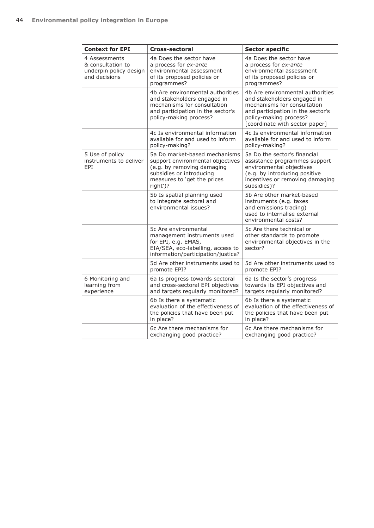| <b>Context for EPI</b>                                                        | <b>Cross-sectoral</b>                                                                                                                                                  | <b>Sector specific</b>                                                                                                                                                                          |
|-------------------------------------------------------------------------------|------------------------------------------------------------------------------------------------------------------------------------------------------------------------|-------------------------------------------------------------------------------------------------------------------------------------------------------------------------------------------------|
| 4 Assessments<br>& consultation to<br>underpin policy design<br>and decisions | 4a Does the sector have<br>a process for ex-ante<br>environmental assessment<br>of its proposed policies or<br>programmes?                                             | 4a Does the sector have<br>a process for ex-ante<br>environmental assessment<br>of its proposed policies or<br>programmes?                                                                      |
|                                                                               | 4b Are environmental authorities<br>and stakeholders engaged in<br>mechanisms for consultation<br>and participation in the sector's<br>policy-making process?          | 4b Are environmental authorities<br>and stakeholders engaged in<br>mechanisms for consultation<br>and participation in the sector's<br>policy-making process?<br>[coordinate with sector paper] |
|                                                                               | 4c Is environmental information<br>available for and used to inform<br>policy-making?                                                                                  | 4c Is environmental information<br>available for and used to inform<br>policy-making?                                                                                                           |
| 5 Use of policy<br>instruments to deliver<br>EPI                              | 5a Do market-based mechanisms<br>support environmental objectives<br>(e.g. by removing damaging<br>subsidies or introducing<br>measures to 'get the prices<br>right')? | 5a Do the sector's financial<br>assistance programmes support<br>environmental objectives<br>(e.g. by introducing positive<br>incentives or removing damaging<br>subsidies)?                    |
|                                                                               | 5b Is spatial planning used<br>to integrate sectoral and<br>environmental issues?                                                                                      | 5b Are other market-based<br>instruments (e.g. taxes<br>and emissions trading)<br>used to internalise external<br>environmental costs?                                                          |
|                                                                               | 5c Are environmental<br>management instruments used<br>for EPI, e.g. EMAS,<br>EIA/SEA, eco-labelling, access to<br>information/participation/justice?                  | 5c Are there technical or<br>other standards to promote<br>environmental objectives in the<br>sector?                                                                                           |
|                                                                               | 5d Are other instruments used to<br>promote EPI?                                                                                                                       | 5d Are other instruments used to<br>promote EPI?                                                                                                                                                |
| 6 Monitoring and<br>learning from<br>experience                               | 6a Is progress towards sectoral<br>and cross-sectoral EPI objectives<br>and targets regularly monitored?                                                               | 6a Is the sector's progress<br>towards its EPI objectives and<br>targets regularly monitored?                                                                                                   |
|                                                                               | 6b Is there a systematic<br>evaluation of the effectiveness of<br>the policies that have been put<br>in place?                                                         | 6b Is there a systematic<br>evaluation of the effectiveness of<br>the policies that have been put<br>in place?                                                                                  |
|                                                                               | 6c Are there mechanisms for<br>exchanging good practice?                                                                                                               | 6c Are there mechanisms for<br>exchanging good practice?                                                                                                                                        |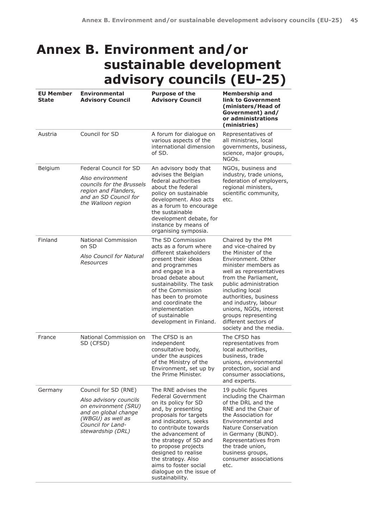## **Annex B. Environment and/or sustainable development advisory councils (EU-25)**

| <b>EU Member</b><br><b>State</b> | <b>Environmental</b><br><b>Advisory Council</b>                                                                                                               | <b>Purpose of the</b><br><b>Advisory Council</b>                                                                                                                                                                                                                                                                                                                      | <b>Membership and</b><br>link to Government<br>(ministers/Head of<br>Government) and/<br>or administrations<br>(ministries)                                                                                                                                                                                                                                     |
|----------------------------------|---------------------------------------------------------------------------------------------------------------------------------------------------------------|-----------------------------------------------------------------------------------------------------------------------------------------------------------------------------------------------------------------------------------------------------------------------------------------------------------------------------------------------------------------------|-----------------------------------------------------------------------------------------------------------------------------------------------------------------------------------------------------------------------------------------------------------------------------------------------------------------------------------------------------------------|
| Austria                          | Council for SD                                                                                                                                                | A forum for dialogue on<br>various aspects of the<br>international dimension<br>of SD.                                                                                                                                                                                                                                                                                | Representatives of<br>all ministries, local<br>governments, business,<br>science, major groups,<br>NGOs.                                                                                                                                                                                                                                                        |
| Belgium                          | Federal Council for SD<br>Also environment<br>councils for the Brussels<br>region and Flanders,<br>and an SD Council for<br>the Walloon region                | An advisory body that<br>advises the Belgian<br>federal authorities<br>about the federal<br>policy on sustainable<br>development. Also acts<br>as a forum to encourage<br>the sustainable<br>development debate, for<br>instance by means of<br>organising symposia.                                                                                                  | NGOs, business and<br>industry, trade unions,<br>federation of employers,<br>regional ministers,<br>scientific community,<br>etc.                                                                                                                                                                                                                               |
| Finland                          | National Commission<br>on SD<br>Also Council for Natural<br>Resources                                                                                         | The SD Commission<br>acts as a forum where<br>different stakeholders<br>present their ideas<br>and programmes<br>and engage in a<br>broad debate about<br>sustainability. The task<br>of the Commission<br>has been to promote<br>and coordinate the<br>implementation<br>of sustainable<br>development in Finland.                                                   | Chaired by the PM<br>and vice-chaired by<br>the Minister of the<br>Environment, Other<br>minister members as<br>well as representatives<br>from the Parliament,<br>public administration<br>including local<br>authorities, business<br>and industry, labour<br>unions, NGOs, interest<br>groups representing<br>different sectors of<br>society and the media. |
| France                           | National Commission on<br>SD (CFSD)                                                                                                                           | The CFSD is an<br>independent<br>consultative body,<br>under the auspices<br>of the Ministry of the<br>Environment, set up by<br>the Prime Minister.                                                                                                                                                                                                                  | The CFSD has<br>representatives from<br>local authorities,<br>business, trade<br>unions, environmental<br>protection, social and<br>consumer associations,<br>and experts.                                                                                                                                                                                      |
| Germany                          | Council for SD (RNE)<br>Also advisory councils<br>on environment (SRU)<br>and on global change<br>(WBGU) as well as<br>Council for Land-<br>stewardship (DRL) | The RNE advises the<br><b>Federal Government</b><br>on its policy for SD<br>and, by presenting<br>proposals for targets<br>and indicators, seeks<br>to contribute towards<br>the advancement of<br>the strategy of SD and<br>to propose projects<br>designed to realise<br>the strategy. Also<br>aims to foster social<br>dialogue on the issue of<br>sustainability. | 19 public figures<br>including the Chairman<br>of the DRL and the<br>RNE and the Chair of<br>the Association for<br>Environmental and<br>Nature Conservation<br>in Germany (BUND).<br>Representatives from<br>the trade union,<br>business groups,<br>consumer associations<br>etc.                                                                             |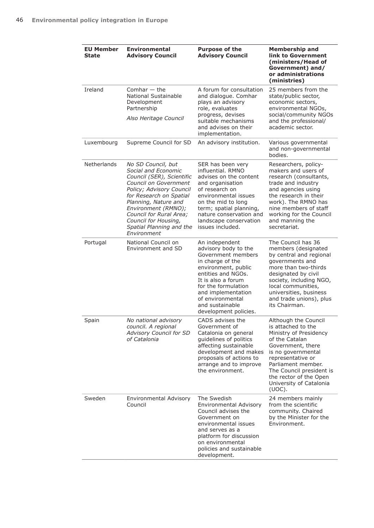| <b>EU Member</b><br><b>State</b> | <b>Environmental</b><br><b>Advisory Council</b>                                                                                                                                                                                                                                                            | <b>Purpose of the</b><br><b>Advisory Council</b>                                                                                                                                                                                                                 | <b>Membership and</b><br>link to Government<br>(ministers/Head of<br>Government) and/<br>or administrations<br>(ministries)                                                                                                                                                |
|----------------------------------|------------------------------------------------------------------------------------------------------------------------------------------------------------------------------------------------------------------------------------------------------------------------------------------------------------|------------------------------------------------------------------------------------------------------------------------------------------------------------------------------------------------------------------------------------------------------------------|----------------------------------------------------------------------------------------------------------------------------------------------------------------------------------------------------------------------------------------------------------------------------|
| Ireland                          | Comhar $-$ the<br><b>National Sustainable</b><br>Development<br>Partnership<br>Also Heritage Council                                                                                                                                                                                                       | A forum for consultation<br>and dialogue. Comhar<br>plays an advisory<br>role, evaluates<br>progress, devises<br>suitable mechanisms<br>and advises on their<br>implementation.                                                                                  | 25 members from the<br>state/public sector,<br>economic sectors,<br>environmental NGOs,<br>social/community NGOs<br>and the professional/<br>academic sector.                                                                                                              |
| Luxembourg                       | Supreme Council for SD                                                                                                                                                                                                                                                                                     | An advisory institution.                                                                                                                                                                                                                                         | Various governmental<br>and non-governmental<br>bodies.                                                                                                                                                                                                                    |
| Netherlands                      | No SD Council, but<br>Social and Economic<br>Council (SER), Scientific<br><b>Council on Government</b><br>Policy; Advisory Council<br>for Research on Spatial<br>Planning, Nature and<br>Environment (RMNO);<br>Council for Rural Area;<br>Council for Housing,<br>Spatial Planning and the<br>Environment | SER has been very<br>influential, RMNO<br>advises on the content<br>and organisation<br>of research on<br>environmental issues<br>on the mid to long<br>term; spatial planning,<br>nature conservation and<br>landscape conservation<br>issues included.         | Researchers, policy-<br>makers and users of<br>research (consultants,<br>trade and industry<br>and agencies using<br>the research in their<br>work). The RMNO has<br>nine members of staff<br>working for the Council<br>and manning the<br>secretariat.                   |
| Portugal                         | National Council on<br>Environment and SD                                                                                                                                                                                                                                                                  | An independent<br>advisory body to the<br>Government members<br>in charge of the<br>environment, public<br>entities and NGOs.<br>It is also a forum<br>for the formulation<br>and implementation<br>of environmental<br>and sustainable<br>development policies. | The Council has 36<br>members (designated<br>by central and regional<br>governments and<br>more than two-thirds<br>designated by civil<br>society, including NGO,<br>local communities,<br>universities, business<br>and trade unions), plus<br>its Chairman.              |
| Spain                            | No national advisory<br>council. A regional<br><b>Advisory Council for SD</b><br>of Catalonia                                                                                                                                                                                                              | CADS advises the<br>Government of<br>Catalonia on general<br>guidelines of politics<br>affecting sustainable<br>development and makes<br>proposals of actions to<br>arrange and to improve<br>the environment.                                                   | Although the Council<br>is attached to the<br>Ministry of Presidency<br>of the Catalan<br>Government, there<br>is no governmental<br>representative or<br>Parliament member.<br>The Council president is<br>the rector of the Open<br>University of Catalonia<br>$(UOC)$ . |
| Sweden                           | Environmental Advisory<br>Council                                                                                                                                                                                                                                                                          | The Swedish<br><b>Environmental Advisory</b><br>Council advises the<br>Government on<br>environmental issues<br>and serves as a<br>platform for discussion<br>on environmental<br>policies and sustainable<br>development.                                       | 24 members mainly<br>from the scientific<br>community. Chaired<br>by the Minister for the<br>Environment.                                                                                                                                                                  |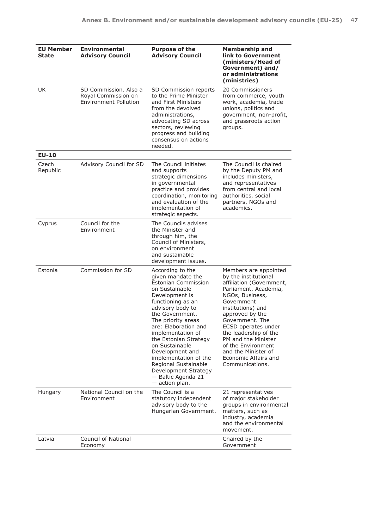| <b>EU Member</b><br><b>State</b> | Environmental<br><b>Advisory Council</b>                                     | <b>Purpose of the</b><br><b>Advisory Council</b>                                                                                                                                                                                                                                                                                                                                                                        | <b>Membership and</b><br>link to Government<br>(ministers/Head of<br>Government) and/<br>or administrations<br>(ministries)                                                                                                                                                                                                                                   |
|----------------------------------|------------------------------------------------------------------------------|-------------------------------------------------------------------------------------------------------------------------------------------------------------------------------------------------------------------------------------------------------------------------------------------------------------------------------------------------------------------------------------------------------------------------|---------------------------------------------------------------------------------------------------------------------------------------------------------------------------------------------------------------------------------------------------------------------------------------------------------------------------------------------------------------|
| UK                               | SD Commission. Also a<br>Royal Commission on<br><b>Environment Pollution</b> | SD Commission reports<br>to the Prime Minister<br>and First Ministers<br>from the devolved<br>administrations,<br>advocating SD across<br>sectors, reviewing<br>progress and building<br>consensus on actions<br>needed.                                                                                                                                                                                                | 20 Commissioners<br>from commerce, youth<br>work, academia, trade<br>unions, politics and<br>government, non-profit,<br>and grassroots action<br>groups.                                                                                                                                                                                                      |
| <b>EU-10</b>                     |                                                                              |                                                                                                                                                                                                                                                                                                                                                                                                                         |                                                                                                                                                                                                                                                                                                                                                               |
| Czech<br>Republic                | Advisory Council for SD                                                      | The Council initiates<br>and supports<br>strategic dimensions<br>in governmental<br>practice and provides<br>coordination, monitoring<br>and evaluation of the<br>implementation of<br>strategic aspects.                                                                                                                                                                                                               | The Council is chaired<br>by the Deputy PM and<br>includes ministers,<br>and representatives<br>from central and local<br>authorities, social<br>partners, NGOs and<br>academics.                                                                                                                                                                             |
| Cyprus                           | Council for the<br>Environment                                               | The Councils advises<br>the Minister and<br>through him, the<br>Council of Ministers,<br>on environment<br>and sustainable<br>development issues.                                                                                                                                                                                                                                                                       |                                                                                                                                                                                                                                                                                                                                                               |
| Estonia                          | Commission for SD                                                            | According to the<br>given mandate the<br><b>Estonian Commission</b><br>on Sustainable<br>Development is<br>functioning as an<br>advisory body to<br>the Government.<br>The priority areas<br>are: Elaboration and<br>implementation of<br>the Estonian Strategy<br>on Sustainable<br>Development and<br>implementation of the<br>Regional Sustainable<br>Development Strategy<br>- Baltic Agenda 21<br>$-$ action plan. | Members are appointed<br>by the institutional<br>affiliation (Government,<br>Parliament, Academia,<br>NGOs, Business,<br>Government<br>institutions) and<br>approved by the<br>Government. The<br>ECSD operates under<br>the leadership of the<br>PM and the Minister<br>of the Environment<br>and the Minister of<br>Economic Affairs and<br>Communications. |
| Hungary                          | National Council on the<br>Environment                                       | The Council is a<br>statutory independent<br>advisory body to the<br>Hungarian Government.                                                                                                                                                                                                                                                                                                                              | 21 representatives<br>of major stakeholder<br>groups in environmental<br>matters, such as<br>industry, academia<br>and the environmental<br>movement.                                                                                                                                                                                                         |
| Latvia                           | Council of National<br>Economy                                               |                                                                                                                                                                                                                                                                                                                                                                                                                         | Chaired by the<br>Government                                                                                                                                                                                                                                                                                                                                  |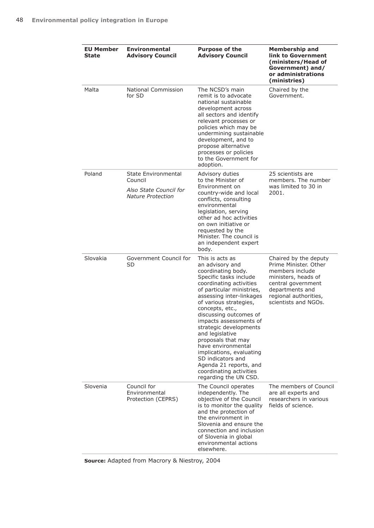| <b>EU Member</b><br>State | <b>Environmental</b><br><b>Advisory Council</b>                                      | <b>Purpose of the</b><br><b>Advisory Council</b>                                                                                                                                                                                                                                                                                                                                                                                                                                                | <b>Membership and</b><br>link to Government<br>(ministers/Head of<br>Government) and/<br>or administrations<br>(ministries)                                                        |
|---------------------------|--------------------------------------------------------------------------------------|-------------------------------------------------------------------------------------------------------------------------------------------------------------------------------------------------------------------------------------------------------------------------------------------------------------------------------------------------------------------------------------------------------------------------------------------------------------------------------------------------|------------------------------------------------------------------------------------------------------------------------------------------------------------------------------------|
| Malta                     | National Commission<br>for SD                                                        | The NCSD's main<br>remit is to advocate<br>national sustainable<br>development across<br>all sectors and identify<br>relevant processes or<br>policies which may be<br>undermining sustainable<br>development, and to<br>propose alternative<br>processes or policies<br>to the Government for<br>adoption.                                                                                                                                                                                     | Chaired by the<br>Government.                                                                                                                                                      |
| Poland                    | State Environmental<br>Council<br>Also State Council for<br><b>Nature Protection</b> | Advisory duties<br>to the Minister of<br>Environment on<br>country-wide and local<br>conflicts, consulting<br>environmental<br>legislation, serving<br>other ad hoc activities<br>on own initiative or<br>requested by the<br>Minister. The council is<br>an independent expert<br>body.                                                                                                                                                                                                        | 25 scientists are<br>members. The number<br>was limited to 30 in<br>2001.                                                                                                          |
| Slovakia                  | Government Council for<br>SD                                                         | This is acts as<br>an advisory and<br>coordinating body.<br>Specific tasks include<br>coordinating activities<br>of particular ministries,<br>assessing inter-linkages<br>of various strategies,<br>concepts, etc.,<br>discussing outcomes of<br>impacts assessments of<br>strategic developments<br>and legislative<br>proposals that may<br>have environmental<br>implications, evaluating<br>SD indicators and<br>Agenda 21 reports, and<br>coordinating activities<br>regarding the UN CSD. | Chaired by the deputy<br>Prime Minister. Other<br>members include<br>ministers, heads of<br>central government<br>departments and<br>regional authorities,<br>scientists and NGOs. |
| Slovenia                  | Council for<br>Environmental<br>Protection (CEPRS)                                   | The Council operates<br>independently. The<br>objective of the Council<br>is to monitor the quality<br>and the protection of<br>the environment in<br>Slovenia and ensure the<br>connection and inclusion<br>of Slovenia in global<br>environmental actions<br>elsewhere.                                                                                                                                                                                                                       | The members of Council<br>are all experts and<br>researchers in various<br>fields of science.                                                                                      |

**Source:** Adapted from Macrory & Niestroy, 2004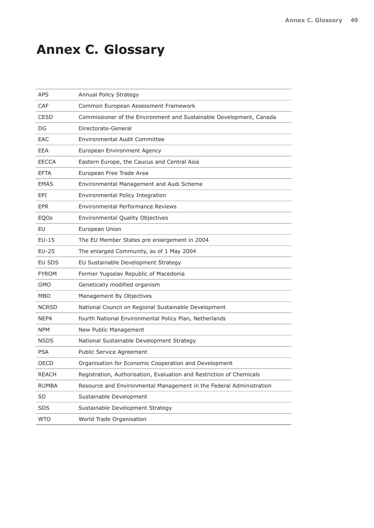# **Annex C. Glossary**

| APS          | Annual Policy Strategy                                               |
|--------------|----------------------------------------------------------------------|
| CAF          | Common European Assessment Framework                                 |
| <b>CESD</b>  | Commissioner of the Environment and Sustainable Development, Canada  |
| DG           | Directorate-General                                                  |
| EAC          | Environmental Audit Committee                                        |
| EEA          | European Environment Agency                                          |
| <b>EECCA</b> | Eastern Europe, the Caucus and Central Asia                          |
| EFTA         | European Free Trade Area                                             |
| <b>EMAS</b>  | Environmental Management and Audi Scheme                             |
| EPI          | Environmental Policy Integration                                     |
| <b>EPR</b>   | Environmental Performance Reviews                                    |
| EQOs         | Environmental Quality Objectives                                     |
| EU           | European Union                                                       |
| $EU-15$      | The EU Member States pre enlargement in 2004                         |
| EU-25        | The enlarged Community, as of 1 May 2004                             |
| EU SDS       | EU Sustainable Development Strategy                                  |
| <b>FYROM</b> | Former Yugoslav Republic of Macedonia                                |
| <b>GMO</b>   | Genetically modified organism                                        |
| <b>MBO</b>   | Management By Objectives                                             |
| <b>NCRSD</b> | National Council on Regional Sustainable Development                 |
| NEP4         | fourth National Environmental Policy Plan, Netherlands               |
| <b>NPM</b>   | New Public Management                                                |
| <b>NSDS</b>  | National Sustainable Development Strategy                            |
| PSA          | Public Service Agreement                                             |
| OECD         | Organisation for Economic Cooperation and Development                |
| <b>REACH</b> | Registration, Authorisation, Evaluation and Restriction of Chemicals |
| <b>RUMBA</b> | Resource and Environmental Management in the Federal Administration  |
| SD           | Sustainable Development                                              |
| <b>SDS</b>   | Sustainable Development Strategy                                     |
| <b>WTO</b>   | World Trade Organisation                                             |
|              |                                                                      |